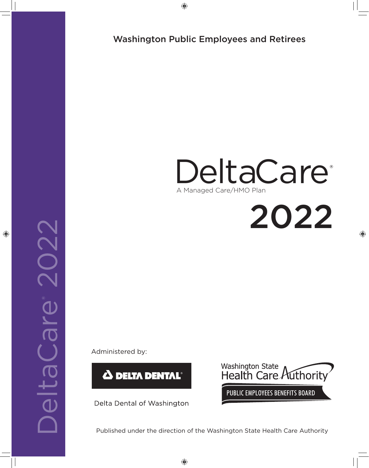◈

# Washington Public Employees and Retirees

# DeltaCare<sup>®</sup> A Managed Care/HMO Plan

2022

⊕

Administered by:



Delta Dental of Washington



Published under the direction of the Washington State Health Care Authority

◈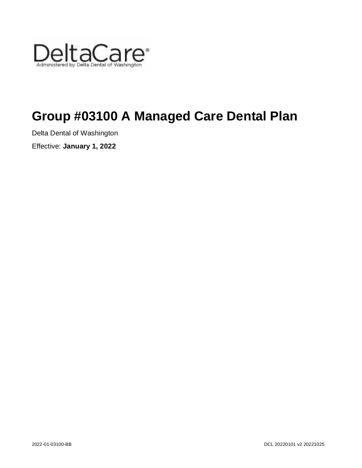

# **Group #03100 A Managed Care Dental Plan**

Delta Dental of Washington

Effective: **January 1, 2022**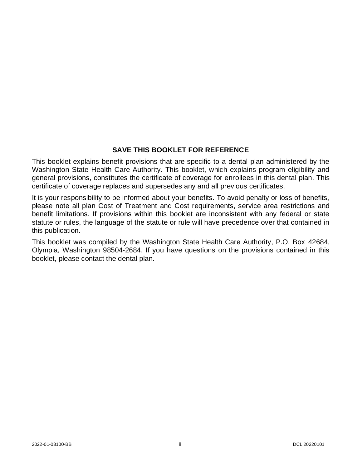# **SAVE THIS BOOKLET FOR REFERENCE**

This booklet explains benefit provisions that are specific to a dental plan administered by the Washington State Health Care Authority. This booklet, which explains program eligibility and general provisions, constitutes the certificate of coverage for enrollees in this dental plan. This certificate of coverage replaces and supersedes any and all previous certificates.

It is your responsibility to be informed about your benefits. To avoid penalty or loss of benefits, please note all plan Cost of Treatment and Cost requirements, service area restrictions and benefit limitations. If provisions within this booklet are inconsistent with any federal or state statute or rules, the language of the statute or rule will have precedence over that contained in this publication.

This booklet was compiled by the Washington State Health Care Authority, P.O. Box 42684, Olympia, Washington 98504-2684. If you have questions on the provisions contained in this booklet, please contact the dental plan.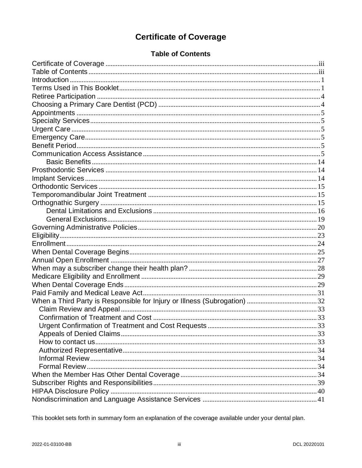# **Certificate of Coverage**

# **Table of Contents**

<span id="page-3-1"></span><span id="page-3-0"></span>

This booklet sets forth in summary form an explanation of the coverage available under your dental plan.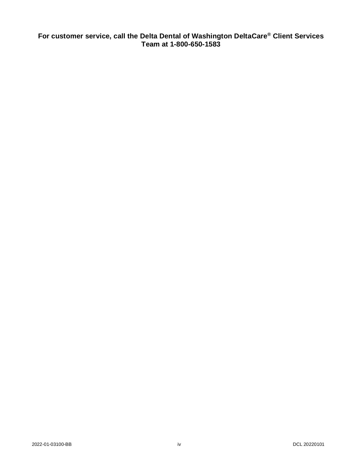**For customer service, call the Delta Dental of Washington DeltaCare® Client Services Team at 1-800-650-1583**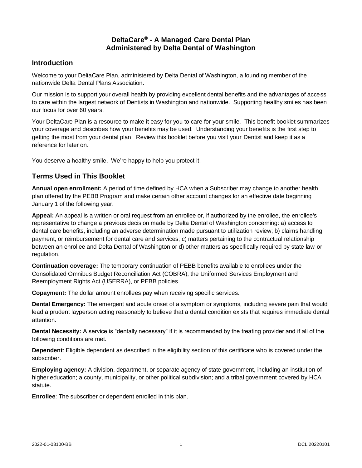# **DeltaCare® - A Managed Care Dental Plan Administered by Delta Dental of Washington**

# <span id="page-5-0"></span>**Introduction**

Welcome to your DeltaCare Plan, administered by Delta Dental of Washington, a founding member of the nationwide Delta Dental Plans Association.

Our mission is to support your overall health by providing excellent dental benefits and the advantages of access to care within the largest network of Dentists in Washington and nationwide. Supporting healthy smiles has been our focus for over 60 years.

Your DeltaCare Plan is a resource to make it easy for you to care for your smile. This benefit booklet summarizes your coverage and describes how your benefits may be used. Understanding your benefits is the first step to getting the most from your dental plan. Review this booklet before you visit your Dentist and keep it as a reference for later on.

<span id="page-5-1"></span>You deserve a healthy smile. We're happy to help you protect it.

# **Terms Used in This Booklet**

**Annual open enrollment:** A period of time defined by HCA when a Subscriber may change to another health plan offered by the PEBB Program and make certain other account changes for an effective date beginning January 1 of the following year.

**Appeal:** An appeal is a written or oral request from an enrollee or, if authorized by the enrollee, the enrollee's representative to change a previous decision made by Delta Dental of Washington concerning: a) access to dental care benefits, including an adverse determination made pursuant to utilization review; b) claims handling, payment, or reimbursement for dental care and services; c) matters pertaining to the contractual relationship between an enrollee and Delta Dental of Washington or d) other matters as specifically required by state law or regulation.

**Continuation coverage:** The temporary continuation of PEBB benefits available to enrollees under the Consolidated Omnibus Budget Reconciliation Act (COBRA), the Uniformed Services Employment and Reemployment Rights Act (USERRA), or PEBB policies.

**Copayment:** The dollar amount enrollees pay when receiving specific services.

**Dental Emergency:** The emergent and acute onset of a symptom or symptoms, including severe pain that would lead a prudent layperson acting reasonably to believe that a dental condition exists that requires immediate dental attention.

**Dental Necessity:** A service is "dentally necessary" if it is recommended by the treating provider and if all of the following conditions are met.

**Dependent**: Eligible dependent as described in the eligibility section of this certificate who is covered under the subscriber.

**Employing agency:** A division, department, or separate agency of state government, including an institution of higher education; a county, municipality, or other political subdivision; and a tribal government covered by HCA statute.

**Enrollee**: The subscriber or dependent enrolled in this plan.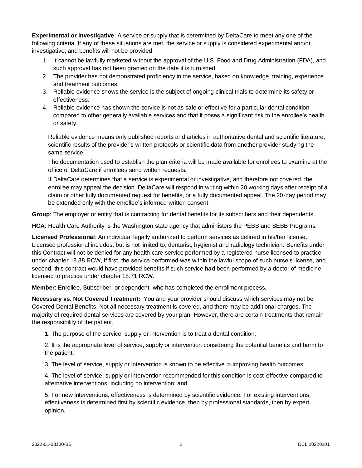**Experimental or Investigative**: A service or supply that is determined by DeltaCare to meet any one of the following criteria. If any of these situations are met, the service or supply is considered experimental and/or investigative, and benefits will not be provided.

- 1. It cannot be lawfully marketed without the approval of the U.S. Food and Drug Administration (FDA), and such approval has not been granted on the date it is furnished.
- 2. The provider has not demonstrated proficiency in the service, based on knowledge, training, experience and treatment outcomes.
- 3. Reliable evidence shows the service is the subject of ongoing clinical trials to determine its safety or effectiveness.
- 4. Reliable evidence has shown the service is not as safe or effective for a particular dental condition compared to other generally available services and that it poses a significant risk to the enrollee's health or safety.

Reliable evidence means only published reports and articles in authoritative dental and scientific literature, scientific results of the provider's written protocols or scientific data from another provider studying the same service.

The documentation used to establish the plan criteria will be made available for enrollees to examine at the office of DeltaCare if enrollees send written requests.

If DeltaCare determines that a service is experimental or investigative, and therefore not covered, the enrollee may appeal the decision. DeltaCare will respond in writing within 20 working days after receipt of a claim or other fully documented request for benefits, or a fully documented appeal. The 20-day period may be extended only with the enrollee's informed written consent.

**Group**: The employer or entity that is contracting for dental benefits for its subscribers and their dependents.

**HCA**: Health Care Authority is the Washington state agency that administers the PEBB and SEBB Programs.

**Licensed Professional**: An individual legally authorized to perform services as defined in his/her license. Licensed professional includes, but is not limited to, denturist, hygienist and radiology technician. Benefits under this Contract will not be denied for any health care service performed by a registered nurse licensed to practice under chapter 18.88 RCW, if first, the service performed was within the lawful scope of such nurse's license, and second, this contract would have provided benefits if such service had been performed by a doctor of medicine licensed to practice under chapter 18.71 RCW.

**Member**: Enrollee, Subscriber, or dependent, who has completed the enrollment process.

**Necessary vs. Not Covered Treatment:** You and your provider should discuss which services may not be Covered Dental Benefits. Not all necessary treatment is covered, and there may be additional charges. The majority of required dental services are covered by your plan. However, there are certain treatments that remain the responsibility of the patient.

1. The purpose of the service, supply or intervention is to treat a dental condition;

2. It is the appropriate level of service, supply or intervention considering the potential benefits and harm to the patient;

3. The level of service, supply or intervention is known to be effective in improving health outcomes;

4. The level of service, supply or intervention recommended for this condition is cost-effective compared to alternative interventions, including no intervention; and

5. For new interventions, effectiveness is determined by scientific evidence. For existing interventions, effectiveness is determined first by scientific evidence, then by professional standards, then by expert opinion.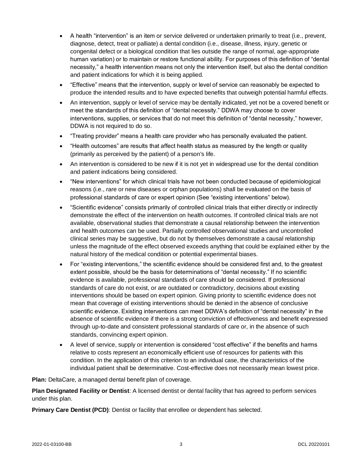- A health "intervention" is an item or service delivered or undertaken primarily to treat (i.e., prevent, diagnose, detect, treat or palliate) a dental condition (i.e., disease, illness, injury, genetic or congenital defect or a biological condition that lies outside the range of normal, age-appropriate human variation) or to maintain or restore functional ability. For purposes of this definition of "dental necessity," a health intervention means not only the intervention itself, but also the dental condition and patient indications for which it is being applied.
- "Effective" means that the intervention, supply or level of service can reasonably be expected to produce the intended results and to have expected benefits that outweigh potential harmful effects.
- An intervention, supply or level of service may be dentally indicated, yet not be a covered benefit or meet the standards of this definition of "dental necessity." DDWA may choose to cover interventions, supplies, or services that do not meet this definition of "dental necessity," however, DDWA is not required to do so.
- "Treating provider" means a health care provider who has personally evaluated the patient.
- "Health outcomes" are results that affect health status as measured by the length or quality (primarily as perceived by the patient) of a person's life.
- An intervention is considered to be new if it is not yet in widespread use for the dental condition and patient indications being considered.
- "New interventions" for which clinical trials have not been conducted because of epidemiological reasons (i.e., rare or new diseases or orphan populations) shall be evaluated on the basis of professional standards of care or expert opinion (See "existing interventions" below).
- "Scientific evidence" consists primarily of controlled clinical trials that either directly or indirectly demonstrate the effect of the intervention on health outcomes. If controlled clinical trials are not available, observational studies that demonstrate a causal relationship between the intervention and health outcomes can be used. Partially controlled observational studies and uncontrolled clinical series may be suggestive, but do not by themselves demonstrate a causal relationship unless the magnitude of the effect observed exceeds anything that could be explained either by the natural history of the medical condition or potential experimental biases.
- For "existing interventions," the scientific evidence should be considered first and, to the greatest extent possible, should be the basis for determinations of "dental necessity." If no scientific evidence is available, professional standards of care should be considered. If professional standards of care do not exist, or are outdated or contradictory, decisions about existing interventions should be based on expert opinion. Giving priority to scientific evidence does not mean that coverage of existing interventions should be denied in the absence of conclusive scientific evidence. Existing interventions can meet DDWA's definition of "dental necessity" in the absence of scientific evidence if there is a strong conviction of effectiveness and benefit expressed through up-to-date and consistent professional standards of care or, in the absence of such standards, convincing expert opinion.
- A level of service, supply or intervention is considered "cost effective" if the benefits and harms relative to costs represent an economically efficient use of resources for patients with this condition. In the application of this criterion to an individual case, the characteristics of the individual patient shall be determinative. Cost-effective does not necessarily mean lowest price.

**Plan:** DeltaCare, a managed dental benefit plan of coverage.

**Plan Designated Facility or Dentist**: A licensed dentist or dental facility that has agreed to perform services under this plan.

**Primary Care Dentist (PCD)**: Dentist or facility that enrollee or dependent has selected.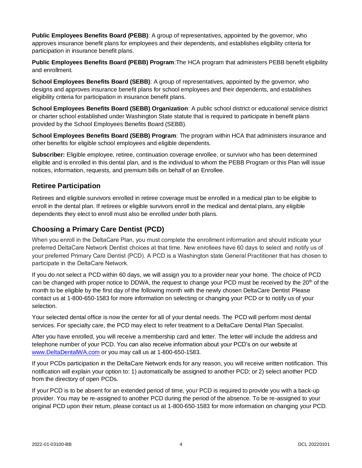**Public Employees Benefits Board (PEBB)**: A group of representatives, appointed by the governor, who approves insurance benefit plans for employees and their dependents, and establishes eligibility criteria for participation in insurance benefit plans.

**Public Employees Benefits Board (PEBB) Program**:The HCA program that administers PEBB benefit eligibility and enrollment.

**School Employees Benefits Board (SEBB)**: A group of representatives, appointed by the governor, who designs and approves insurance benefit plans for school employees and their dependents, and establishes eligibility criteria for participation in insurance benefit plans.

**School Employees Benefits Board (SEBB) Organization**: A public school district or educational service district or charter school established under Washington State statute that is required to participate in benefit plans provided by the School Employees Benefits Board (SEBB).

**School Employees Benefits Board (SEBB) Program**: The program within HCA that administers insurance and other benefits for eligible school employees and eligible dependents.

**Subscriber:** Eligible employee, retiree, continuation coverage enrollee, or survivor who has been determined eligible and is enrolled in this dental plan, and is the individual to whom the PEBB Program or this Plan will issue notices, information, requests, and premium bills on behalf of an Enrollee.

# <span id="page-8-0"></span>**Retiree Participation**

Retirees and eligible survivors enrolled in retiree coverage must be enrolled in a medical plan to be eligible to enroll in the dental plan. If retirees or eligible survivors enroll in the medical and dental plans, any eligible dependents they elect to enroll must also be enrolled under both plans.

# <span id="page-8-1"></span>**Choosing a Primary Care Dentist (PCD)**

When you enroll in the DeltaCare Plan, you must complete the enrollment information and should indicate your preferred DeltaCare Network Dentist choices at that time. New enrollees have 60 days to select and notify us of your preferred Primary Care Dentist (PCD). A PCD is a Washington state General Practitioner that has chosen to participate in the DeltaCare Network.

If you do not select a PCD within 60 days, we will assign you to a provider near your home. The choice of PCD can be changed with proper notice to DDWA, the request to change your PCD must be received by the 20<sup>th</sup> of the month to be eligible by the first day of the following month with the newly chosen DeltaCare Dentist Please contact us at 1-800-650-1583 for more information on selecting or changing your PCD or to notify us of your selection.

Your selected dental office is now the center for all of your dental needs. The PCD will perform most dental services. For specialty care, the PCD may elect to refer treatment to a DeltaCare Dental Plan Specialist.

After you have enrolled, you will receive a membership card and letter. The letter will include the address and telephone number of your PCD. You can also receive information about your PCD's on our website at [www.DeltaDentalWA.com](http://www.deltadentalwa.com/) or you may call us at 1-800-650-1583.

If your PCDs participation in the DeltaCare Network ends for any reason, you will receive written notification. This notification will explain your option to: 1) automatically be assigned to another PCD; or 2) select another PCD from the directory of open PCDs.

If your PCD is to be absent for an extended period of time, your PCD is required to provide you with a back-up provider. You may be re-assigned to another PCD during the period of the absence. To be re-assigned to your original PCD upon their return, please contact us at 1-800-650-1583 for more information on changing your PCD.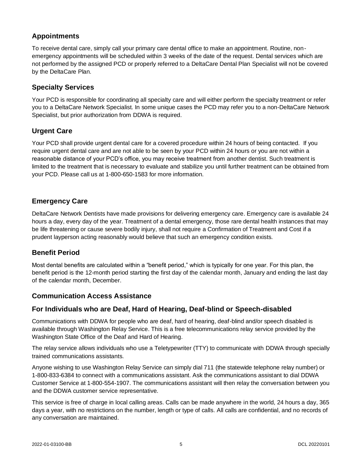# <span id="page-9-0"></span>**Appointments**

To receive dental care, simply call your primary care dental office to make an appointment. Routine, nonemergency appointments will be scheduled within 3 weeks of the date of the request. Dental services which are not performed by the assigned PCD or properly referred to a DeltaCare Dental Plan Specialist will not be covered by the DeltaCare Plan.

# <span id="page-9-1"></span>**Specialty Services**

Your PCD is responsible for coordinating all specialty care and will either perform the specialty treatment or refer you to a DeltaCare Network Specialist. In some unique cases the PCD may refer you to a non-DeltaCare Network Specialist, but prior authorization from DDWA is required.

# <span id="page-9-2"></span>**Urgent Care**

Your PCD shall provide urgent dental care for a covered procedure within 24 hours of being contacted. If you require urgent dental care and are not able to be seen by your PCD within 24 hours or you are not within a reasonable distance of your PCD's office, you may receive treatment from another dentist. Such treatment is limited to the treatment that is necessary to evaluate and stabilize you until further treatment can be obtained from your PCD. Please call us at 1-800-650-1583 for more information.

# <span id="page-9-3"></span>**Emergency Care**

DeltaCare Network Dentists have made provisions for delivering emergency care. Emergency care is available 24 hours a day, every day of the year. Treatment of a dental emergency, those rare dental health instances that may be life threatening or cause severe bodily injury, shall not require a Confirmation of Treatment and Cost if a prudent layperson acting reasonably would believe that such an emergency condition exists.

# <span id="page-9-4"></span>**Benefit Period**

Most dental benefits are calculated within a "benefit period," which is typically for one year. For this plan, the benefit period is the 12-month period starting the first day of the calendar month, January and ending the last day of the calendar month, December.

# <span id="page-9-5"></span>**Communication Access Assistance**

# **For Individuals who are Deaf, Hard of Hearing, Deaf-blind or Speech-disabled**

Communications with DDWA for people who are deaf, hard of hearing, deaf-blind and/or speech disabled is available through Washington Relay Service. This is a free telecommunications relay service provided by the Washington State Office of the Deaf and Hard of Hearing.

The relay service allows individuals who use a Teletypewriter (TTY) to communicate with DDWA through specially trained communications assistants.

Anyone wishing to use Washington Relay Service can simply dial 711 (the statewide telephone relay number) or 1-800-833-6384 to connect with a communications assistant. Ask the communications assistant to dial DDWA Customer Service at 1-800-554-1907. The communications assistant will then relay the conversation between you and the DDWA customer service representative.

This service is free of charge in local calling areas. Calls can be made anywhere in the world, 24 hours a day, 365 days a year, with no restrictions on the number, length or type of calls. All calls are confidential, and no records of any conversation are maintained.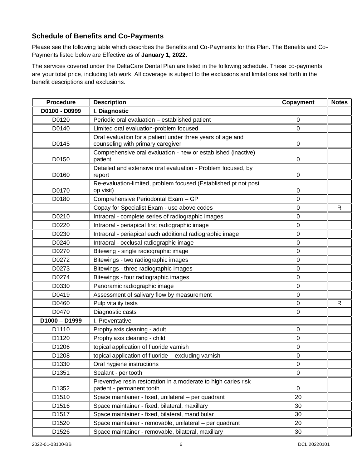# **Schedule of Benefits and Co-Payments**

Please see the following table which describes the Benefits and Co-Payments for this Plan. The Benefits and Co-Payments listed below are Effective as of **January 1, 2022.**

The services covered under the DeltaCare Dental Plan are listed in the following schedule. These co-payments are your total price, including lab work. All coverage is subject to the exclusions and limitations set forth in the benefit descriptions and exclusions.

| <b>Procedure</b> | <b>Description</b>                                                                          | Copayment   | <b>Notes</b> |
|------------------|---------------------------------------------------------------------------------------------|-------------|--------------|
| D0100 - D0999    | I. Diagnostic                                                                               |             |              |
| D0120            | Periodic oral evaluation - established patient                                              | 0           |              |
| D0140            | Limited oral evaluation-problem focused                                                     | $\mathbf 0$ |              |
|                  | Oral evaluation for a patient under three years of age and                                  |             |              |
| D0145            | counseling with primary caregiver                                                           | 0           |              |
| D0150            | Comprehensive oral evaluation - new or established (inactive)<br>patient                    | 0           |              |
| D0160            | Detailed and extensive oral evaluation - Problem focused, by<br>report                      | $\pmb{0}$   |              |
| D0170            | Re-evaluation-limited, problem focused (Established pt not post<br>op visit)                | $\pmb{0}$   |              |
| D0180            | Comprehensive Periodontal Exam - GP                                                         | $\mathbf 0$ |              |
|                  | Copay for Specialist Exam - use above codes                                                 | $\Omega$    | $\mathsf{R}$ |
| D0210            | Intraoral - complete series of radiographic images                                          | $\mathbf 0$ |              |
| D0220            | Intraoral - periapical first radiographic image                                             | $\pmb{0}$   |              |
| D0230            | Intraoral - periapical each additional radiographic image                                   | 0           |              |
| D0240            | Intraoral - occlusal radiographic image                                                     | $\mathbf 0$ |              |
| D0270            | Bitewing - single radiographic image                                                        | $\Omega$    |              |
| D0272            | Bitewings - two radiographic images                                                         | $\mathbf 0$ |              |
| D0273            | Bitewings - three radiographic images                                                       | 0           |              |
| D0274            | Bitewings - four radiographic images                                                        | $\mathbf 0$ |              |
| D0330            | Panoramic radiographic image                                                                | 0           |              |
| D0419            | Assessment of salivary flow by measurement                                                  | 0           |              |
| D0460            | Pulp vitality tests                                                                         | $\mathbf 0$ | $\mathsf{R}$ |
| D0470            | Diagnostic casts                                                                            | $\mathbf 0$ |              |
| $D1000 - D1999$  | I. Preventative                                                                             |             |              |
| D1110            | Prophylaxis cleaning - adult                                                                | 0           |              |
| D1120            | Prophylaxis cleaning - child                                                                | $\mathbf 0$ |              |
| D1206            | topical application of fluoride varnish                                                     | 0           |              |
| D1208            | topical application of fluoride - excluding varnish                                         | $\pmb{0}$   |              |
| D1330            | Oral hygiene instructions                                                                   | 0           |              |
| D1351            | Sealant - per tooth                                                                         | $\mathbf 0$ |              |
| D1352            | Preventive resin restoration in a moderate to high caries risk<br>patient - permanent tooth | $\pmb{0}$   |              |
| D1510            | Space maintainer - fixed, unilateral - per quadrant                                         | 20          |              |
| D1516            | Space maintainer - fixed, bilateral, maxillary                                              | 30          |              |
| D1517            | Space maintainer - fixed, bilateral, mandibular                                             | 30          |              |
| D1520            | Space maintainer - removable, unilateral - per quadrant                                     | 20          |              |
| D1526            | Space maintainer - removable, bilateral, maxillary                                          | 30          |              |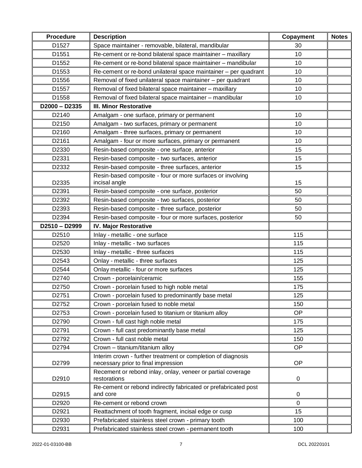| <b>Procedure</b> | <b>Description</b>                                                          | Copayment   | <b>Notes</b> |
|------------------|-----------------------------------------------------------------------------|-------------|--------------|
| D1527            | Space maintainer - removable, bilateral, mandibular                         | 30          |              |
| D1551            | Re-cement or re-bond bilateral space maintainer - maxillary                 | 10          |              |
| D1552            | Re-cement or re-bond bilateral space maintainer - mandibular                | 10          |              |
| D1553            | Re-cement or re-bond unilateral space maintainer – per quadrant             | 10          |              |
| D1556            | Removal of fixed unilateral space maintainer - per quadrant                 | 10          |              |
| D1557            | Removal of fixed bilateral space maintainer - maxillary                     | 10          |              |
| D1558            | Removal of fixed bilateral space maintainer - mandibular                    | 10          |              |
| $D2000 - D2335$  | <b>III. Minor Restorative</b>                                               |             |              |
| D2140            | Amalgam - one surface, primary or permanent                                 | 10          |              |
| D2150            | Amalgam - two surfaces, primary or permanent                                | 10          |              |
| D2160            | Amalgam - three surfaces, primary or permanent                              | 10          |              |
| D2161            | Amalgam - four or more surfaces, primary or permanent                       | 10          |              |
| D2330            | Resin-based composite - one surface, anterior                               | 15          |              |
| D2331            | Resin-based composite - two surfaces, anterior                              | 15          |              |
| D2332            | Resin-based composite - three surfaces, anterior                            | 15          |              |
|                  | Resin-based composite - four or more surfaces or involving                  |             |              |
| D2335            | incisal angle                                                               | 15          |              |
| D2391            | Resin-based composite - one surface, posterior                              | 50          |              |
| D2392            | Resin-based composite - two surfaces, posterior                             | 50          |              |
| D2393            | Resin-based composite - three surface, posterior                            | 50          |              |
| D2394            | Resin-based composite - four or more surfaces, posterior                    | 50          |              |
| D2510-D2999      | <b>IV. Major Restorative</b>                                                |             |              |
| D2510            | Inlay - metallic - one surface                                              | 115         |              |
| D2520            | Inlay - metallic - two surfaces                                             | 115         |              |
| D2530            | Inlay - metallic - three surfaces                                           | 115         |              |
| D2543            | Onlay - metallic - three surfaces                                           | 125         |              |
| D2544            | Onlay metallic - four or more surfaces                                      | 125         |              |
| D2740            | Crown - porcelain/ceramic                                                   | 155         |              |
| D2750            | Crown - porcelain fused to high noble metal                                 | 175         |              |
| D2751            | Crown - porcelain fused to predominantly base metal                         | 125         |              |
| D2752            | Crown - porcelain fused to noble metal                                      | 150         |              |
| D2753            | Crown - porcelain fused to titanium or titanium alloy                       | <b>OP</b>   |              |
| D2790            | Crown - full cast high noble metal                                          | 175         |              |
| D2791            | Crown - full cast predominantly base metal                                  | 125         |              |
| D2792            | Crown - full cast noble metal                                               | 150         |              |
| D2794            | Crown - titanium/titanium alloy                                             | <b>OP</b>   |              |
|                  | Interim crown - further treatment or completion of diagnosis                |             |              |
| D2799            | necessary prior to final impression                                         | <b>OP</b>   |              |
| D2910            | Recement or rebond inlay, onlay, veneer or partial coverage<br>restorations | $\pmb{0}$   |              |
| D2915            | Re-cement or rebond indirectly fabricated or prefabricated post<br>and core | 0           |              |
| D2920            | Re-cement or rebond crown                                                   | $\mathbf 0$ |              |
| D2921            | Reattachment of tooth fragment, incisal edge or cusp                        | 15          |              |
| D2930            | Prefabricated stainless steel crown - primary tooth                         | 100         |              |
| D2931            | Prefabricated stainless steel crown - permanent tooth                       | 100         |              |
|                  |                                                                             |             |              |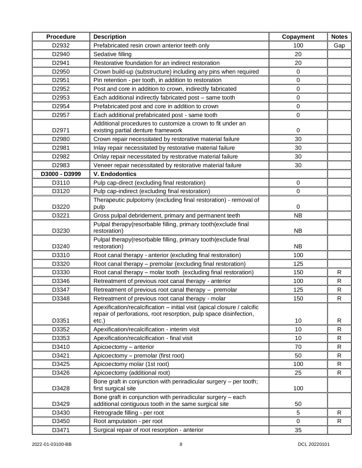| <b>Procedure</b> | <b>Description</b>                                                                                                                            | Copayment   | <b>Notes</b> |
|------------------|-----------------------------------------------------------------------------------------------------------------------------------------------|-------------|--------------|
| D2932            | Prefabricated resin crown anterior teeth only                                                                                                 | 100         | Gap          |
| D2940            | Sedative filling                                                                                                                              | 20          |              |
| D2941            | Restorative foundation for an indirect restoration                                                                                            | 20          |              |
| D2950            | Crown build-up (substructure) including any pins when required                                                                                | 0           |              |
| D2951            | Pin retention - per tooth, in addition to restoration                                                                                         | 0           |              |
| D2952            | Post and core in addition to crown, indirectly fabricated                                                                                     | 0           |              |
| D2953            | Each additional indirectly fabricated post - same tooth                                                                                       | 0           |              |
| D2954            | Prefabricated post and core in addition to crown                                                                                              | 0           |              |
| D2957            | Each additional prefabricated post - same tooth                                                                                               | 0           |              |
| D2971            | Additional procedures to customize a crown to fit under an<br>existing partial denture framework                                              | $\pmb{0}$   |              |
| D2980            | Crown repair necessitated by restorative material failure                                                                                     | 30          |              |
| D2981            | Inlay repair necessitated by restorative material failure                                                                                     | 30          |              |
| D2982            | Onlay repair necessitated by restorative material failure                                                                                     | 30          |              |
| D2983            | Veneer repair necessitated by restorative material failure                                                                                    | 30          |              |
| D3000 - D3999    | <b>V. Endodontics</b>                                                                                                                         |             |              |
| D3110            | Pulp cap-direct (excluding final restoration)                                                                                                 | $\pmb{0}$   |              |
| D3120            | Pulp cap-indirect (excluding final restoration)                                                                                               | 0           |              |
| D3220            | Therapeutic pulpotomy (excluding final restoration) - removal of<br>pulp                                                                      | 0           |              |
| D3221            | Gross pulpal debridement, primary and permanent teeth                                                                                         | <b>NB</b>   |              |
| D3230            | Pulpal therapy(resorbable filling, primary tooth(exclude final<br>restoration)                                                                | <b>NB</b>   |              |
| D3240            | Pulpal therapy(resorbable filling, primary tooth(exclude final<br>restoration)                                                                | <b>NB</b>   |              |
| D3310            | Root canal therapy - anterior (excluding final restoration)                                                                                   | 100         |              |
| D3320            | Root canal therapy - premolar (excluding final restoration)                                                                                   | 125         |              |
| D3330            | Root canal therapy - molar tooth (excluding final restoration)                                                                                | 150         | R            |
| D3346            | Retreatment of previous root canal therapy - anterior                                                                                         | 100         | R            |
| D3347            | Retreatment of previous root canal therapy - premolar                                                                                         | 125         | $\mathsf{R}$ |
| D3348            | Retreatment of previous root canal therapy - molar                                                                                            | 150         | R            |
|                  | Apexification/recalcification - initial visit (apical closure / calcific<br>repair of perforations, root resorption, pulp space disinfection, |             |              |
| D3351            | $etc.$ )                                                                                                                                      | 10          | R            |
| D3352            | Apexification/recalcification - interim visit                                                                                                 | 10          | R            |
| D3353            | Apexification/recalcification - final visit                                                                                                   | 10          | R            |
| D3410            | Apicoectomy - anterior                                                                                                                        | 70          | $\mathsf{R}$ |
| D3421            | Apicoectomy - premolar (first root)                                                                                                           | 50          | R            |
| D3425            | Apicoectomy molar (1st root)                                                                                                                  | 100         | $\mathsf{R}$ |
| D3426            | Apicoectomy (additional root)                                                                                                                 | 25          | R            |
| D3428            | Bone graft in conjunction with periradicular surgery – per tooth;<br>first surgical site                                                      | 100         |              |
| D3429            | Bone graft in conjunction with periradicular surgery - each<br>additional contiguous tooth in the same surgical site                          | 50          |              |
| D3430            | Retrograde filling - per root                                                                                                                 | 5           | R            |
| D3450            | Root amputation - per root                                                                                                                    | $\mathbf 0$ | R            |
| D3471            | Surgical repair of root resorption - anterior                                                                                                 | 35          |              |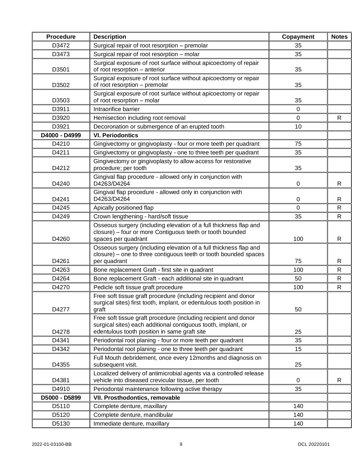| <b>Procedure</b> | <b>Description</b>                                                                                            | Copayment | <b>Notes</b> |
|------------------|---------------------------------------------------------------------------------------------------------------|-----------|--------------|
| D3472            | Surgical repair of root resorption - premolar                                                                 | 35        |              |
| D3473            | Surgical repair of root resorption - molar                                                                    | 35        |              |
|                  | Surgical exposure of root surface without apicoectomy of repair                                               |           |              |
| D3501            | of root resorption - anterior                                                                                 | 35        |              |
|                  | Surgical exposure of root surface without apicoectomy or repair                                               |           |              |
| D3502            | of root resorption - premolar                                                                                 | 35        |              |
| D3503            | Surgical exposure of root surface without apicoectomy or repair<br>of root resorption - molar                 | 35        |              |
| D3911            | Intraorifice barrier                                                                                          | 0         |              |
| D3920            | Hemisection including root removal                                                                            | 0         | R            |
| D3921            | Decoronation or submergence of an erupted tooth                                                               | 10        |              |
| D4000 - D4999    | <b>VI. Periodontics</b>                                                                                       |           |              |
| D4210            | Gingivectomy or gingivoplasty - four or more teeth per quadrant                                               | 75        |              |
| D4211            | Gingivectomy or gingivoplasty - one to three teeth per quadrant                                               | 35        |              |
|                  | Gingivectomy or gingivoplasty to allow access for restorative                                                 |           |              |
| D4212            | procedure; per tooth                                                                                          | 35        |              |
|                  | Gingival flap procedure - allowed only in conjunction with                                                    |           |              |
| D4240            | D4263/D4264                                                                                                   | 0         | $\mathsf{R}$ |
| D4241            | Gingival flap procedure - allowed only in conjunction with<br>D4263/D4264                                     | 0         | R            |
| D4245            | Apically positioned flap                                                                                      | 0         | $\mathsf{R}$ |
| D4249            | Crown lengthening - hard/soft tissue                                                                          | 35        | R            |
|                  | Osseous surgery (including elevation of a full thickness flap and                                             |           |              |
|                  | closure) - four or more Contiguous teeth or tooth bounded                                                     |           |              |
| D4260            | spaces per quadrant                                                                                           | 100       | $\mathsf{R}$ |
|                  | Osseous surgery (including elevation of a full thickness flap and                                             |           |              |
| D4261            | closure) – one to three contiguous teeth or tooth bounded spaces<br>per quadrant                              | 75        | R            |
| D4263            | Bone replacement Graft - first site in quadrant                                                               | 100       | R            |
| D4264            | Bone replacement Graft - each additional site in quadrant                                                     | 50        | R            |
| D4270            | Pedicle soft tissue graft procedure                                                                           | 100       | $\mathsf{R}$ |
|                  | Free soft tissue graft procedure (including recipient and donor                                               |           |              |
|                  | surgical sites) first tooth, implant, or edentulous tooth position in                                         |           |              |
| D4277            | graft                                                                                                         | 50        |              |
|                  | Free soft tissue graft procedure (including recipient and donor                                               |           |              |
| D4278            | surgical sites) each additional contiguous tooth, implant, or<br>edentulous tooth position in same graft site | 25        |              |
| D4341            | Periodontal root planing - four or more teeth per quadrant                                                    | 35        |              |
| D4342            | Periodontal root planing - one to three teeth per quadrant                                                    | 15        |              |
|                  | Full Mouth debridement, once every 12months and diagnosis on                                                  |           |              |
| D4355            | subsequent visit.                                                                                             | 25        |              |
|                  | Localized delivery of antimicrobial agents via a controlled release                                           |           |              |
| D4381            | vehicle into diseased crevicular tissue, per tooth                                                            | 0         | R            |
| D4910            | Periodontal maintenance following active therapy                                                              | 35        |              |
| D5000 - D5899    | VII. Prosthodontics, removable                                                                                |           |              |
| D5110            | Complete denture, maxillary                                                                                   | 140       |              |
| D5120            | Complete denture, mandibular                                                                                  | 140       |              |
| D5130            | Immediate denture, maxillary                                                                                  | 140       |              |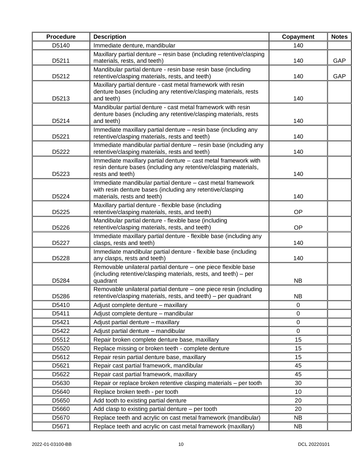| <b>Procedure</b>                                              | <b>Description</b>                                                                                                                                       | Copayment   | <b>Notes</b> |
|---------------------------------------------------------------|----------------------------------------------------------------------------------------------------------------------------------------------------------|-------------|--------------|
| D5140                                                         | Immediate denture, mandibular<br>140                                                                                                                     |             |              |
| D5211                                                         | Maxillary partial denture - resin base (including retentive/clasping<br>materials, rests, and teeth)                                                     |             | GAP          |
| D5212                                                         | Mandibular partial denture - resin base resin base (including<br>retentive/clasping materials, rests, and teeth)                                         | 140         | GAP          |
| D5213                                                         | Maxillary partial denture - cast metal framework with resin<br>denture bases (including any retentive/clasping materials, rests<br>and teeth)            | 140         |              |
| D5214                                                         | Mandibular partial denture - cast metal framework with resin<br>denture bases (including any retentive/clasping materials, rests<br>and teeth)           | 140         |              |
| D5221                                                         | Immediate maxillary partial denture - resin base (including any<br>retentive/clasping materials, rests and teeth)                                        | 140         |              |
| D5222                                                         | Immediate mandibular partial denture - resin base (including any<br>retentive/clasping materials, rests and teeth)                                       | 140         |              |
| D5223                                                         | Immediate maxillary partial denture - cast metal framework with<br>resin denture bases (including any retentive/clasping materials,<br>rests and teeth)  | 140         |              |
| D5224                                                         | Immediate mandibular partial denture - cast metal framework<br>with resin denture bases (including any retentive/clasping<br>materials, rests and teeth) | 140         |              |
| D5225                                                         | Maxillary partial denture - flexible base (including<br>retentive/clasping materials, rests, and teeth)                                                  | OP          |              |
| D5226                                                         | Mandibular partial denture - flexible base (including<br>retentive/clasping materials, rests, and teeth)                                                 | OP          |              |
| D5227                                                         | Immediate maxillary partial denture - flexible base (including any<br>clasps, rests and teeth)                                                           | 140         |              |
| D5228                                                         | Immediate mandibular partial denture - flexible base (including<br>any clasps, rests and teeth)                                                          | 140         |              |
| D5284                                                         | Removable unilateral partial denture - one piece flexible base<br>(including retentive/clasping materials, rests, and teeth) - per<br>quadrant           | <b>NB</b>   |              |
| D5286                                                         | Removable unilateral partial denture - one piece resin (including<br>retentive/clasping materials, rests, and teeth) - per quadrant                      | <b>NB</b>   |              |
| D5410                                                         | Adjust complete denture - maxillary                                                                                                                      | 0           |              |
| D5411                                                         | Adjust complete denture - mandibular                                                                                                                     | $\mathbf 0$ |              |
| D5421                                                         | Adjust partial denture - maxillary                                                                                                                       | $\pmb{0}$   |              |
| D5422                                                         | Adjust partial denture - mandibular<br>$\mathbf 0$                                                                                                       |             |              |
| Repair broken complete denture base, maxillary<br>D5512<br>15 |                                                                                                                                                          |             |              |
| D5520                                                         | Replace missing or broken teeth - complete denture<br>15                                                                                                 |             |              |
| D5612                                                         | Repair resin partial denture base, maxillary                                                                                                             | 15          |              |
| D5621                                                         | Repair cast partial framework, mandibular<br>45                                                                                                          |             |              |
| D5622                                                         | Repair cast partial framework, maxillary                                                                                                                 | 45          |              |
| D5630                                                         | Repair or replace broken retentive clasping materials - per tooth                                                                                        | 30          |              |
| D5640                                                         | Replace broken teeth - per tooth                                                                                                                         | 10          |              |
| D5650                                                         | Add tooth to existing partial denture                                                                                                                    | 20          |              |
| D5660                                                         | Add clasp to existing partial denture - per tooth                                                                                                        | 20          |              |
| D5670                                                         | Replace teeth and acrylic on cast metal framework (mandibular)                                                                                           | <b>NB</b>   |              |
| D5671                                                         | Replace teeth and acrylic on cast metal framework (maxillary)<br><b>NB</b>                                                                               |             |              |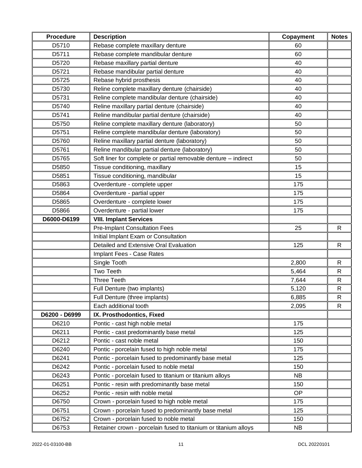| <b>Procedure</b> | <b>Description</b>                                                    | Copayment | <b>Notes</b> |
|------------------|-----------------------------------------------------------------------|-----------|--------------|
| D5710            | Rebase complete maxillary denture                                     | 60        |              |
| D5711            | Rebase complete mandibular denture                                    |           |              |
| D5720            | Rebase maxillary partial denture                                      | 40        |              |
| D5721            | Rebase mandibular partial denture                                     | 40        |              |
| D5725            | Rebase hybrid prosthesis<br>40                                        |           |              |
| D5730            | Reline complete maxillary denture (chairside)<br>40                   |           |              |
| D5731            | Reline complete mandibular denture (chairside)                        | 40        |              |
| D5740            | Reline maxillary partial denture (chairside)                          | 40        |              |
| D5741            | Reline mandibular partial denture (chairside)                         | 40        |              |
| D5750            | Reline complete maxillary denture (laboratory)                        | 50        |              |
| D5751            | Reline complete mandibular denture (laboratory)                       | 50        |              |
| D5760            | Reline maxillary partial denture (laboratory)                         | 50        |              |
| D5761            | Reline mandibular partial denture (laboratory)                        | 50        |              |
| D5765            | Soft liner for complete or partial removable denture - indirect       | 50        |              |
| D5850            | Tissue conditioning, maxillary                                        | 15        |              |
| D5851            | Tissue conditioning, mandibular                                       | 15        |              |
| D5863            | Overdenture - complete upper                                          | 175       |              |
| D5864            | Overdenture - partial upper                                           | 175       |              |
| D5865            | Overdenture - complete lower                                          | 175       |              |
| D5866            | Overdenture - partial lower                                           | 175       |              |
| D6000-D6199      | <b>VIII. Implant Services</b>                                         |           |              |
|                  | <b>Pre-Implant Consultation Fees</b>                                  | 25        | R            |
|                  | Initial Implant Exam or Consultation                                  |           |              |
|                  | Detailed and Extensive Oral Evaluation                                | 125       | $\mathsf{R}$ |
|                  | Implant Fees - Case Rates                                             |           |              |
|                  | Single Tooth                                                          | 2,800     | R            |
|                  | Two Teeth                                                             | 5,464     | $\mathsf{R}$ |
|                  | <b>Three Teeth</b>                                                    | 7,644     | $\mathsf{R}$ |
|                  | Full Denture (two implants)                                           | 5,120     | $\mathsf{R}$ |
|                  | Full Denture (three implants)                                         | 6,885     | ${\sf R}$    |
|                  | Each additional tooth                                                 | 2,095     | R            |
| D6200 - D6999    | IX. Prosthodontics, Fixed                                             |           |              |
| D6210            | Pontic - cast high noble metal                                        | 175       |              |
| D6211            | Pontic - cast predominantly base metal                                | 125       |              |
| D6212            | Pontic - cast noble metal                                             | 150       |              |
| D6240            | Pontic - porcelain fused to high noble metal                          | 175       |              |
| D6241            | Pontic - porcelain fused to predominantly base metal                  | 125       |              |
| D6242            | Pontic - porcelain fused to noble metal                               | 150       |              |
| D6243            | Pontic - porcelain fused to titanium or titanium alloys               | <b>NB</b> |              |
| D6251            | Pontic - resin with predominantly base metal                          | 150       |              |
| D6252            | Pontic - resin with noble metal                                       | <b>OP</b> |              |
| D6750            | Crown - porcelain fused to high noble metal                           | 175       |              |
| D6751            | Crown - porcelain fused to predominantly base metal                   | 125       |              |
| D6752            | Crown - porcelain fused to noble metal                                | 150       |              |
| D6753            | Retainer crown - porcelain fused to titanium or titanium alloys<br>NB |           |              |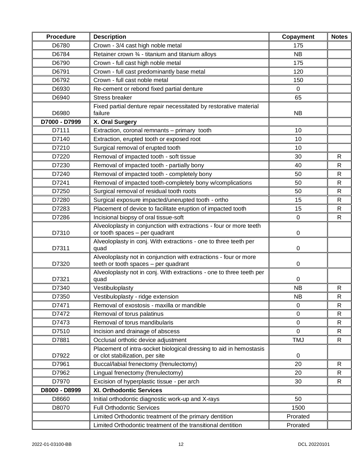| <b>Procedure</b> | <b>Description</b>                                                                                       | Copayment   | <b>Notes</b> |
|------------------|----------------------------------------------------------------------------------------------------------|-------------|--------------|
| D6780            | Crown - 3/4 cast high noble metal                                                                        | 175         |              |
| D6784            | Retainer crown 3⁄4 - titanium and titanium alloys                                                        | <b>NB</b>   |              |
| D6790            | Crown - full cast high noble metal                                                                       | 175         |              |
| D6791            | Crown - full cast predominantly base metal                                                               | 120         |              |
| D6792            | Crown - full cast noble metal                                                                            | 150         |              |
| D6930            | Re-cement or rebond fixed partial denture                                                                | 0           |              |
| D6940            | <b>Stress breaker</b>                                                                                    | 65          |              |
| D6980            | Fixed partial denture repair necessitated by restorative material<br>failure                             | <b>NB</b>   |              |
| D7000 - D7999    | X. Oral Surgery                                                                                          |             |              |
| D7111            | Extraction, coronal remnants - primary tooth                                                             | 10          |              |
| D7140            | Extraction, erupted tooth or exposed root                                                                | 10          |              |
| D7210            | Surgical removal of erupted tooth                                                                        | 10          |              |
| D7220            | Removal of impacted tooth - soft tissue                                                                  | 30          | $\mathsf{R}$ |
| D7230            | Removal of impacted tooth - partially bony                                                               | 40          | $\mathsf{R}$ |
| D7240            | Removal of impacted tooth - completely bony                                                              | 50          | $\mathsf{R}$ |
| D7241            | Removal of impacted tooth-completely bony w/complications                                                | 50          | $\mathsf{R}$ |
| D7250            | Surgical removal of residual tooth roots                                                                 | 50          | $\mathsf{R}$ |
| D7280            | Surgical exposure impacted/unerupted tooth - ortho                                                       | 15          | $\mathsf{R}$ |
| D7283            | Placement of device to facilitate eruption of impacted tooth                                             | 15          | $\mathsf{R}$ |
| D7286            | Incisional biopsy of oral tissue-soft                                                                    | $\mathbf 0$ | $\mathsf{R}$ |
| D7310            | Alveoloplasty in conjunction with extractions - four or more teeth<br>or tooth spaces - per quadrant     | 0           |              |
| D7311            | Alveoloplasty in conj. With extractions - one to three teeth per<br>quad                                 | 0           |              |
| D7320            | Alveoloplasty not in conjunction with extractions - four or more<br>teeth or tooth spaces - per quadrant | 0           |              |
| D7321            | Alveoloplasty not in conj. With extractions - one to three teeth per<br>quad                             | 0           |              |
| D7340            | Vestibuloplasty                                                                                          | <b>NB</b>   | $\mathsf{R}$ |
| D7350            | Vestibuloplasty - ridge extension                                                                        | <b>NB</b>   | $\mathsf{R}$ |
| D7471            | Removal of exostosis - maxilla or mandible                                                               | 0           | $\mathsf{R}$ |
| D7472            | Removal of torus palatinus                                                                               | $\Omega$    | $\mathsf{R}$ |
| D7473            | Removal of torus mandibularis                                                                            | $\pmb{0}$   | R            |
| D7510            | Incision and drainage of abscess                                                                         | $\Omega$    | $\mathsf{R}$ |
| D7881            | Occlusal orthotic device adjustment                                                                      | <b>TMJ</b>  | R            |
| D7922            | Placement of intra-socket biological dressing to aid in hemostasis<br>or clot stabilization, per site    | 0           |              |
| D7961            | Buccal/labial frenectomy (frenulectomy)                                                                  | 20          | $\mathsf{R}$ |
| D7962            | Lingual frenectomy (frenulectomy)                                                                        | 20          | R            |
| D7970            | Excision of hyperplastic tissue - per arch                                                               | 30          | $\mathsf{R}$ |
| D8000 - D8999    | XI. Orthodontic Services                                                                                 |             |              |
| D8660            | Initial orthodontic diagnostic work-up and X-rays                                                        | 50          |              |
| D8070            | <b>Full Orthodontic Services</b>                                                                         | 1500        |              |
|                  | Limited Orthodontic treatment of the primary dentition                                                   | Prorated    |              |
|                  | Limited Orthodontic treatment of the transitional dentition                                              | Prorated    |              |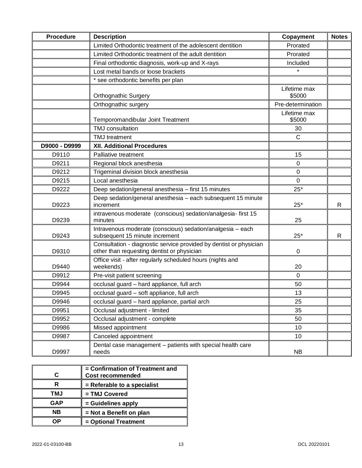| <b>Procedure</b>                                | <b>Description</b>                                                                                               | Copayment              | <b>Notes</b> |
|-------------------------------------------------|------------------------------------------------------------------------------------------------------------------|------------------------|--------------|
|                                                 | Limited Orthodontic treatment of the adolescent dentition                                                        | Prorated               |              |
|                                                 | Limited Orthodontic treatment of the adult dentition                                                             | Prorated               |              |
| Final orthodontic diagnosis, work-up and X-rays |                                                                                                                  | Included               |              |
| $\star$<br>Lost metal bands or loose brackets   |                                                                                                                  |                        |              |
|                                                 | * see orthodontic benefits per plan                                                                              |                        |              |
|                                                 | <b>Orthognathic Surgery</b>                                                                                      | Lifetime max<br>\$5000 |              |
|                                                 | Orthognathic surgery                                                                                             | Pre-determination      |              |
|                                                 | Temporomandibular Joint Treatment                                                                                | Lifetime max<br>\$5000 |              |
|                                                 | TMJ consultation                                                                                                 | 30                     |              |
|                                                 | <b>TMJ</b> treatment                                                                                             | $\mathsf{C}$           |              |
| D9000 - D9999                                   | <b>XII. Additional Procedures</b>                                                                                |                        |              |
| D9110                                           | Palliative treatment                                                                                             | 15                     |              |
| D9211                                           | Regional block anesthesia                                                                                        | $\Omega$               |              |
| D9212                                           | Trigeminal division block anesthesia                                                                             | 0                      |              |
| D9215                                           | Local anesthesia                                                                                                 | 0                      |              |
| D9222                                           | Deep sedation/general anesthesia - first 15 minutes                                                              | $25*$                  |              |
| D9223                                           | Deep sedation/general anesthesia - each subsequent 15 minute<br>increment                                        | $25*$                  | $\mathsf{R}$ |
| D9239                                           | intravenous moderate (conscious) sedation/analgesia-first 15<br>minutes                                          | 25                     |              |
| D9243                                           | Intravenous moderate (conscious) sedation/analgesia - each<br>subsequent 15 minute increment                     | $25*$                  | $\mathsf{R}$ |
| D9310                                           | Consultation - diagnostic service provided by dentist or physician<br>other than requesting dentist or physician | $\pmb{0}$              |              |
| D9440                                           | Office visit - after regularly scheduled hours (nights and<br>weekends)                                          | 20                     |              |
| D9912                                           | Pre-visit patient screening                                                                                      | $\Omega$               |              |
| D9944                                           | occlusal guard - hard appliance, full arch                                                                       | 50                     |              |
| D9945                                           | occlusal guard - soft appliance, full arch                                                                       | 13                     |              |
| D9946                                           | occlusal guard - hard appliance, partial arch                                                                    | 25                     |              |
| D9951                                           | Occlusal adjustment - limited                                                                                    | 35                     |              |
| D9952                                           | Occlusal adjustment - complete                                                                                   | 50                     |              |
| D9986                                           | Missed appointment                                                                                               | 10                     |              |
| D9987                                           | Canceled appointment                                                                                             | 10                     |              |
| D9997                                           | Dental case management - patients with special health care<br>needs                                              | <b>NB</b>              |              |

|            | = Confirmation of Treatment and |
|------------|---------------------------------|
| C          | <b>Cost recommended</b>         |
|            | = Referable to a specialist     |
| <b>TMJ</b> | = TMJ Covered                   |
| <b>GAP</b> | = Guidelines apply              |
| <b>NB</b>  | $=$ Not a Benefit on plan       |
|            | = Optional Treatment            |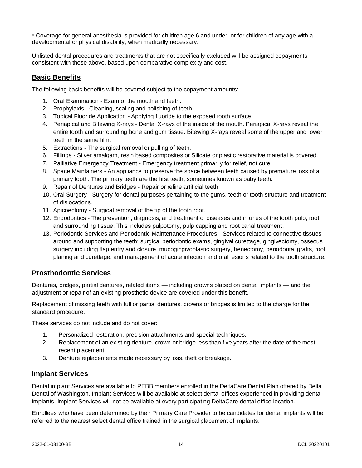\* Coverage for general anesthesia is provided for children age 6 and under, or for children of any age with a developmental or physical disability, when medically necessary.

Unlisted dental procedures and treatments that are not specifically excluded will be assigned copayments consistent with those above, based upon comparative complexity and cost.

# <span id="page-18-0"></span>**Basic Benefits**

The following basic benefits will be covered subject to the copayment amounts:

- 1. Oral Examination Exam of the mouth and teeth.
- 2. Prophylaxis Cleaning, scaling and polishing of teeth.
- 3. Topical Fluoride Application Applying fluoride to the exposed tooth surface.
- 4. Periapical and Bitewing X-rays Dental X-rays of the inside of the mouth. Periapical X-rays reveal the entire tooth and surrounding bone and gum tissue. Bitewing X-rays reveal some of the upper and lower teeth in the same film.
- 5. Extractions The surgical removal or pulling of teeth.
- 6. Fillings Silver amalgam, resin based composites or Silicate or plastic restorative material is covered.
- 7. Palliative Emergency Treatment Emergency treatment primarily for relief, not cure.
- 8. Space Maintainers An appliance to preserve the space between teeth caused by premature loss of a primary tooth. The primary teeth are the first teeth, sometimes known as baby teeth.
- 9. Repair of Dentures and Bridges Repair or reline artificial teeth.
- 10. Oral Surgery Surgery for dental purposes pertaining to the gums, teeth or tooth structure and treatment of dislocations.
- 11. Apicoectomy Surgical removal of the tip of the tooth root.
- 12. Endodontics The prevention, diagnosis, and treatment of diseases and injuries of the tooth pulp, root and surrounding tissue. This includes pulpotomy, pulp capping and root canal treatment.
- 13. Periodontic Services and Periodontic Maintenance Procedures Services related to connective tissues around and supporting the teeth; surgical periodontic exams, gingival curettage, gingivectomy, osseous surgery including flap entry and closure, mucogingivoplastic surgery, frenectomy, periodontal grafts, root planing and curettage, and management of acute infection and oral lesions related to the tooth structure.

### <span id="page-18-1"></span>**Prosthodontic Services**

Dentures, bridges, partial dentures, related items — including crowns placed on dental implants — and the adjustment or repair of an existing prosthetic device are covered under this benefit.

Replacement of missing teeth with full or partial dentures, crowns or bridges is limited to the charge for the standard procedure.

These services do not include and do not cover:

- 1. Personalized restoration, precision attachments and special techniques.
- 2. Replacement of an existing denture, crown or bridge less than five years after the date of the most recent placement.
- 3. Denture replacements made necessary by loss, theft or breakage.

### <span id="page-18-2"></span>**Implant Services**

Dental implant Services are available to PEBB members enrolled in the DeltaCare Dental Plan offered by Delta Dental of Washington. Implant Services will be available at select dental offices experienced in providing dental implants. Implant Services will not be available at every participating DeltaCare dental office location.

Enrollees who have been determined by their Primary Care Provider to be candidates for dental implants will be referred to the nearest select dental office trained in the surgical placement of implants.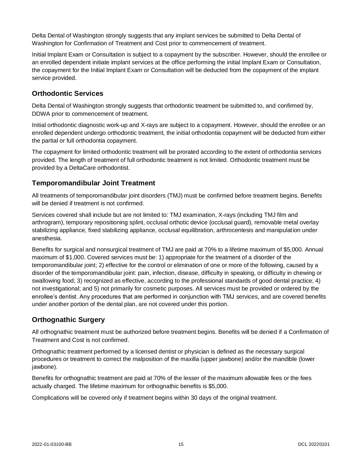Delta Dental of Washington strongly suggests that any implant services be submitted to Delta Dental of Washington for Confirmation of Treatment and Cost prior to commencement of treatment.

Initial Implant Exam or Consultation is subject to a copayment by the subscriber. However, should the enrollee or an enrolled dependent initiate implant services at the office performing the initial Implant Exam or Consultation, the copayment for the Initial Implant Exam or Consultation will be deducted from the copayment of the implant service provided.

# <span id="page-19-0"></span>**Orthodontic Services**

Delta Dental of Washington strongly suggests that orthodontic treatment be submitted to, and confirmed by, DDWA prior to commencement of treatment.

Initial orthodontic diagnostic work-up and X-rays are subject to a copayment. However, should the enrollee or an enrolled dependent undergo orthodontic treatment, the initial orthodontia copayment will be deducted from either the partial or full orthodontia copayment.

The copayment for limited orthodontic treatment will be prorated according to the extent of orthodontia services provided. The length of treatment of full orthodontic treatment is not limited. Orthodontic treatment must be provided by a DeltaCare orthodontist.

# <span id="page-19-1"></span>**Temporomandibular Joint Treatment**

All treatments of temporomandibular joint disorders (TMJ) must be confirmed before treatment begins. Benefits will be denied if treatment is not confirmed.

Services covered shall include but are not limited to: TMJ examination, X-rays (including TMJ film and arthrogram), temporary repositioning splint, occlusal orthotic device (occlusal guard), removable metal overlay stabilizing appliance, fixed stabilizing appliance, occlusal equilibration, arthrocentesis and manipulation under anesthesia.

Benefits for surgical and nonsurgical treatment of TMJ are paid at 70% to a lifetime maximum of \$5,000. Annual maximum of \$1,000. Covered services must be: 1) appropriate for the treatment of a disorder of the temporomandibular joint; 2) effective for the control or elimination of one or more of the following, caused by a disorder of the temporomandibular joint: pain, infection, disease, difficulty in speaking, or difficulty in chewing or swallowing food; 3) recognized as effective, according to the professional standards of good dental practice; 4) not investigational; and 5) not primarily for cosmetic purposes. All services must be provided or ordered by the enrollee's dentist. Any procedures that are performed in conjunction with TMJ services, and are covered benefits under another portion of the dental plan, are not covered under this portion.

# <span id="page-19-2"></span>**Orthognathic Surgery**

All orthognathic treatment must be authorized before treatment begins. Benefits will be denied if a Confirmation of Treatment and Cost is not confirmed.

Orthognathic treatment performed by a licensed dentist or physician is defined as the necessary surgical procedures or treatment to correct the malposition of the maxilla (upper jawbone) and/or the mandible (lower jawbone).

Benefits for orthognathic treatment are paid at 70% of the lesser of the maximum allowable fees or the fees actually charged. The lifetime maximum for orthognathic benefits is \$5,000.

Complications will be covered only if treatment begins within 30 days of the original treatment.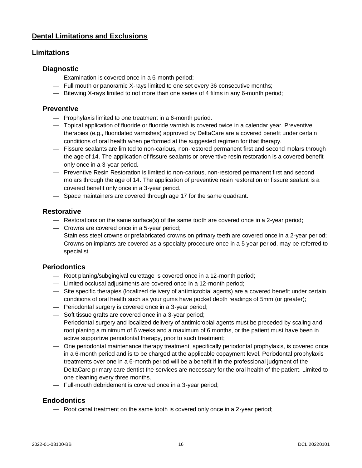# <span id="page-20-0"></span>**Dental Limitations and Exclusions**

# **Limitations**

### **Diagnostic**

- Examination is covered once in a 6-month period;
- Full mouth or panoramic X-rays limited to one set every 36 consecutive months;
- Bitewing X-rays limited to not more than one series of 4 films in any 6-month period;

### **Preventive**

- Prophylaxis limited to one treatment in a 6-month period.
- Topical application of fluoride or fluoride varnish is covered twice in a calendar year. Preventive therapies (e.g., fluoridated varnishes) approved by DeltaCare are a covered benefit under certain conditions of oral health when performed at the suggested regimen for that therapy.
- Fissure sealants are limited to non-carious, non-restored permanent first and second molars through the age of 14. The application of fissure sealants or preventive resin restoration is a covered benefit only once in a 3-year period.
- Preventive Resin Restoration is limited to non-carious, non-restored permanent first and second molars through the age of 14. The application of preventive resin restoration or fissure sealant is a covered benefit only once in a 3-year period.
- Space maintainers are covered through age 17 for the same quadrant.

# **Restorative**

- Restorations on the same surface(s) of the same tooth are covered once in a 2-year period;
- Crowns are covered once in a 5-year period;
- Stainless steel crowns or prefabricated crowns on primary teeth are covered once in a 2-year period;
- Crowns on implants are covered as a specialty procedure once in a 5 year period, may be referred to specialist.

# **Periodontics**

- Root planing/subgingival curettage is covered once in a 12-month period;
- Limited occlusal adjustments are covered once in a 12-month period;
- Site specific therapies (localized delivery of antimicrobial agents) are a covered benefit under certain conditions of oral health such as your gums have pocket depth readings of 5mm (or greater);
- Periodontal surgery is covered once in a 3-year period;
- Soft tissue grafts are covered once in a 3-year period;
- Periodontal surgery and localized delivery of antimicrobial agents must be preceded by scaling and root planing a minimum of 6 weeks and a maximum of 6 months, or the patient must have been in active supportive periodontal therapy, prior to such treatment;
- One periodontal maintenance therapy treatment, specifically periodontal prophylaxis, is covered once in a 6-month period and is to be charged at the applicable copayment level. Periodontal prophylaxis treatments over one in a 6-month period will be a benefit if in the professional judgment of the DeltaCare primary care dentist the services are necessary for the oral health of the patient. Limited to one cleaning every three months.
- Full-mouth debridement is covered once in a 3-year period;

### **Endodontics**

— Root canal treatment on the same tooth is covered only once in a 2-year period;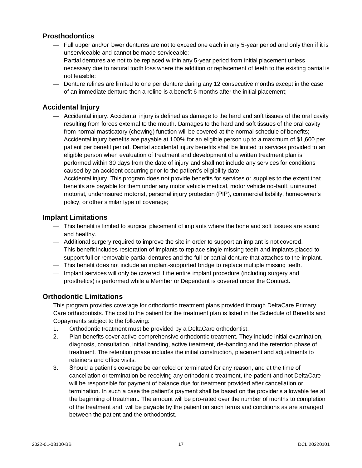# **Prosthodontics**

- Full upper and/or lower dentures are not to exceed one each in any 5-year period and only then if it is unserviceable and cannot be made serviceable;
- Partial dentures are not to be replaced within any 5-year period from initial placement unless necessary due to natural tooth loss where the addition or replacement of teeth to the existing partial is not feasible:
- Denture relines are limited to one per denture during any 12 consecutive months except in the case of an immediate denture then a reline is a benefit 6 months after the initial placement;

# **Accidental Injury**

- Accidental injury. Accidental injury is defined as damage to the hard and soft tissues of the oral cavity resulting from forces external to the mouth. Damages to the hard and soft tissues of the oral cavity from normal masticatory (chewing) function will be covered at the normal schedule of benefits;
- Accidental injury benefits are payable at 100% for an eligible person up to a maximum of \$1,600 per patient per benefit period. Dental accidental injury benefits shall be limited to services provided to an eligible person when evaluation of treatment and development of a written treatment plan is performed within 30 days from the date of injury and shall not include any services for conditions caused by an accident occurring prior to the patient's eligibility date.
- Accidental injury. This program does not provide benefits for services or supplies to the extent that benefits are payable for them under any motor vehicle medical, motor vehicle no-fault, uninsured motorist, underinsured motorist, personal injury protection (PIP), commercial liability, homeowner's policy, or other similar type of coverage;

# **Implant Limitations**

- This benefit is limited to surgical placement of implants where the bone and soft tissues are sound and healthy.
- Additional surgery required to improve the site in order to support an implant is not covered.
- This benefit includes restoration of implants to replace single missing teeth and implants placed to support full or removable partial dentures and the full or partial denture that attaches to the implant.
- This benefit does not include an implant-supported bridge to replace multiple missing teeth.
- Implant services will only be covered if the entire implant procedure (including surgery and prosthetics) is performed while a Member or Dependent is covered under the Contract.

# **Orthodontic Limitations**

This program provides coverage for orthodontic treatment plans provided through DeltaCare Primary Care orthodontists. The cost to the patient for the treatment plan is listed in the Schedule of Benefits and Copayments subject to the following:

- 1. Orthodontic treatment must be provided by a DeltaCare orthodontist.
- 2. Plan benefits cover active comprehensive orthodontic treatment. They include initial examination, diagnosis, consultation, initial banding, active treatment, de-banding and the retention phase of treatment. The retention phase includes the initial construction, placement and adjustments to retainers and office visits.
- 3. Should a patient's coverage be canceled or terminated for any reason, and at the time of cancellation or termination be receiving any orthodontic treatment, the patient and not DeltaCare will be responsible for payment of balance due for treatment provided after cancellation or termination. In such a case the patient's payment shall be based on the provider's allowable fee at the beginning of treatment. The amount will be pro-rated over the number of months to completion of the treatment and, will be payable by the patient on such terms and conditions as are arranged between the patient and the orthodontist.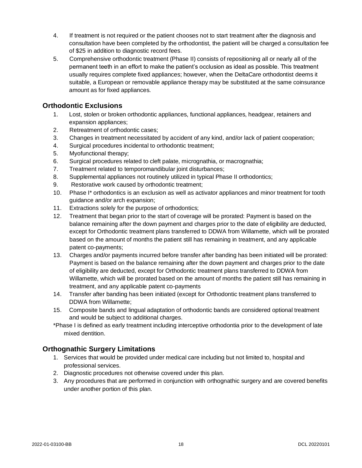- 4. If treatment is not required or the patient chooses not to start treatment after the diagnosis and consultation have been completed by the orthodontist, the patient will be charged a consultation fee of \$25 in addition to diagnostic record fees.
- 5. Comprehensive orthodontic treatment (Phase II) consists of repositioning all or nearly all of the permanent teeth in an effort to make the patient's occlusion as ideal as possible. This treatment usually requires complete fixed appliances; however, when the DeltaCare orthodontist deems it suitable, a European or removable appliance therapy may be substituted at the same coinsurance amount as for fixed appliances.

# **Orthodontic Exclusions**

- 1. Lost, stolen or broken orthodontic appliances, functional appliances, headgear, retainers and expansion appliances;
- 2. Retreatment of orthodontic cases;
- 3. Changes in treatment necessitated by accident of any kind, and/or lack of patient cooperation;
- 4. Surgical procedures incidental to orthodontic treatment;
- 5. Myofunctional therapy;
- 6. Surgical procedures related to cleft palate, micrognathia, or macrognathia;
- 7. Treatment related to temporomandibular joint disturbances;
- 8. Supplemental appliances not routinely utilized in typical Phase II orthodontics;
- 9. Restorative work caused by orthodontic treatment;
- 10. Phase I\* orthodontics is an exclusion as well as activator appliances and minor treatment for tooth guidance and/or arch expansion;
- 11. Extractions solely for the purpose of orthodontics;
- 12. Treatment that began prior to the start of coverage will be prorated: Payment is based on the balance remaining after the down payment and charges prior to the date of eligibility are deducted, except for Orthodontic treatment plans transferred to DDWA from Willamette, which will be prorated based on the amount of months the patient still has remaining in treatment, and any applicable patent co-payments;
- 13. Charges and/or payments incurred before transfer after banding has been initiated will be prorated: Payment is based on the balance remaining after the down payment and charges prior to the date of eligibility are deducted, except for Orthodontic treatment plans transferred to DDWA from Willamette, which will be prorated based on the amount of months the patient still has remaining in treatment, and any applicable patent co-payments
- 14. Transfer after banding has been initiated (except for Orthodontic treatment plans transferred to DDWA from Willamette;
- 15. Composite bands and lingual adaptation of orthodontic bands are considered optional treatment and would be subject to additional charges.
- \*Phase I is defined as early treatment including interceptive orthodontia prior to the development of late mixed dentition.

# **Orthognathic Surgery Limitations**

- 1. Services that would be provided under medical care including but not limited to, hospital and professional services.
- 2. Diagnostic procedures not otherwise covered under this plan.
- 3. Any procedures that are performed in conjunction with orthognathic surgery and are covered benefits under another portion of this plan.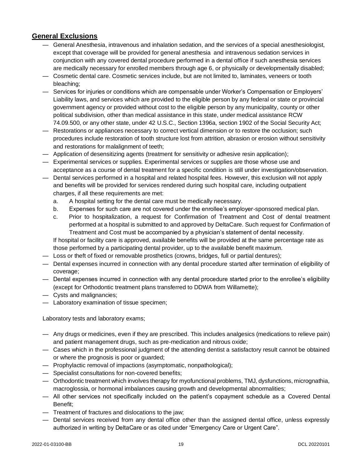# <span id="page-23-0"></span>**General Exclusions**

- General Anesthesia, intravenous and inhalation sedation, and the services of a special anesthesiologist, except that coverage will be provided for general anesthesia and intravenous sedation services in conjunction with any covered dental procedure performed in a dental office if such anesthesia services are medically necessary for enrolled members through age 6, or physically or developmentally disabled;
- Cosmetic dental care. Cosmetic services include, but are not limited to, laminates, veneers or tooth bleaching;
- Services for injuries or conditions which are compensable under Worker's Compensation or Employers' Liability laws, and services which are provided to the eligible person by any federal or state or provincial government agency or provided without cost to the eligible person by any municipality, county or other political subdivision, other than medical assistance in this state, under medical assistance RCW 74.09.500, or any other state, under 42 U.S.C., Section 1396a, section 1902 of the Social Security Act;
- Restorations or appliances necessary to correct vertical dimension or to restore the occlusion; such procedures include restoration of tooth structure lost from attrition, abrasion or erosion without sensitivity and restorations for malalignment of teeth;
- Application of desensitizing agents (treatment for sensitivity or adhesive resin application);
- Experimental services or supplies. Experimental services or supplies are those whose use and acceptance as a course of dental treatment for a specific condition is still under investigation/observation.
- Dental services performed in a hospital and related hospital fees. However, this exclusion will not apply and benefits will be provided for services rendered during such hospital care, including outpatient charges, if all these requirements are met:
	- a. A hospital setting for the dental care must be medically necessary.
	- b. Expenses for such care are not covered under the enrollee's employer-sponsored medical plan.
	- c. Prior to hospitalization, a request for Confirmation of Treatment and Cost of dental treatment performed at a hospital is submitted to and approved by DeltaCare. Such request for Confirmation of Treatment and Cost must be accompanied by a physician's statement of dental necessity.

If hospital or facility care is approved, available benefits will be provided at the same percentage rate as those performed by a participating dental provider, up to the available benefit maximum.

- Loss or theft of fixed or removable prosthetics (crowns, bridges, full or partial dentures);
- Dental expenses incurred in connection with any dental procedure started after termination of eligibility of coverage;
- Dental expenses incurred in connection with any dental procedure started prior to the enrollee's eligibility (except for Orthodontic treatment plans transferred to DDWA from Willamette);
- Cysts and malignancies;
- Laboratory examination of tissue specimen;

Laboratory tests and laboratory exams;

- Any drugs or medicines, even if they are prescribed. This includes analgesics (medications to relieve pain) and patient management drugs, such as pre-medication and nitrous oxide;
- Cases which in the professional judgment of the attending dentist a satisfactory result cannot be obtained or where the prognosis is poor or guarded;
- Prophylactic removal of impactions (asymptomatic, nonpathological);
- Specialist consultations for non-covered benefits;
- Orthodontic treatment which involves therapy for myofunctional problems, TMJ, dysfunctions, micrognathia, macroglossia, or hormonal imbalances causing growth and developmental abnormalities;
- All other services not specifically included on the patient's copayment schedule as a Covered Dental Benefit;
- Treatment of fractures and dislocations to the jaw;
- Dental services received from any dental office other than the assigned dental office, unless expressly authorized in writing by DeltaCare or as cited under "Emergency Care or Urgent Care".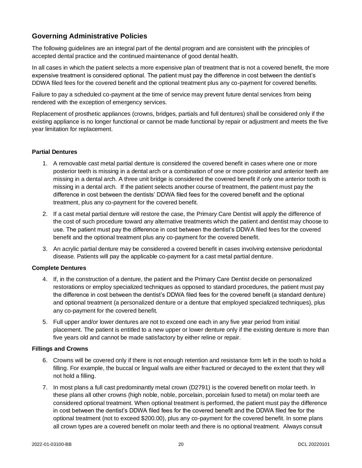# <span id="page-24-0"></span>**Governing Administrative Policies**

The following guidelines are an integral part of the dental program and are consistent with the principles of accepted dental practice and the continued maintenance of good dental health.

In all cases in which the patient selects a more expensive plan of treatment that is not a covered benefit, the more expensive treatment is considered optional. The patient must pay the difference in cost between the dentist's DDWA filed fees for the covered benefit and the optional treatment plus any co-payment for covered benefits.

Failure to pay a scheduled co-payment at the time of service may prevent future dental services from being rendered with the exception of emergency services.

Replacement of prosthetic appliances (crowns, bridges, partials and full dentures) shall be considered only if the existing appliance is no longer functional or cannot be made functional by repair or adjustment and meets the five year limitation for replacement.

#### **Partial Dentures**

- 1. A removable cast metal partial denture is considered the covered benefit in cases where one or more posterior teeth is missing in a dental arch or a combination of one or more posterior and anterior teeth are missing in a dental arch. A three unit bridge is considered the covered benefit if only one anterior tooth is missing in a dental arch. If the patient selects another course of treatment, the patient must pay the difference in cost between the dentists' DDWA filed fees for the covered benefit and the optional treatment, plus any co-payment for the covered benefit.
- 2. If a cast metal partial denture will restore the case, the Primary Care Dentist will apply the difference of the cost of such procedure toward any alternative treatments which the patient and dentist may choose to use. The patient must pay the difference in cost between the dentist's DDWA filed fees for the covered benefit and the optional treatment plus any co-payment for the covered benefit.
- 3. An acrylic partial denture may be considered a covered benefit in cases involving extensive periodontal disease. Patients will pay the applicable co-payment for a cast metal partial denture.

#### **Complete Dentures**

- 4. If, in the construction of a denture, the patient and the Primary Care Dentist decide on personalized restorations or employ specialized techniques as opposed to standard procedures, the patient must pay the difference in cost between the dentist's DDWA filed fees for the covered benefit (a standard denture) and optional treatment (a personalized denture or a denture that employed specialized techniques), plus any co-payment for the covered benefit.
- 5. Full upper and/or lower dentures are not to exceed one each in any five year period from initial placement. The patient is entitled to a new upper or lower denture only if the existing denture is more than five years old and cannot be made satisfactory by either reline or repair.

#### **Fillings and Crowns**

- 6. Crowns will be covered only if there is not enough retention and resistance form left in the tooth to hold a filling. For example, the buccal or lingual walls are either fractured or decayed to the extent that they will not hold a filling.
- 7. In most plans a full cast predominantly metal crown (D2791) is the covered benefit on molar teeth. In these plans all other crowns (high noble, noble, porcelain, porcelain fused to metal) on molar teeth are considered optional treatment. When optional treatment is performed, the patient must pay the difference in cost between the dentist's DDWA filed fees for the covered benefit and the DDWA filed fee for the optional treatment (not to exceed \$200.00), plus any co-payment for the covered benefit. In some plans all crown types are a covered benefit on molar teeth and there is no optional treatment. Always consult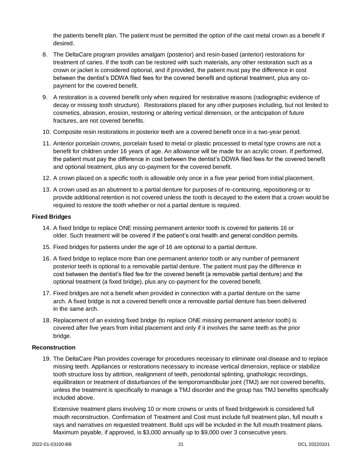the patients benefit plan. The patient must be permitted the option of the cast metal crown as a benefit if desired.

- 8. The DeltaCare program provides amalgam (posterior) and resin-based (anterior) restorations for treatment of caries. If the tooth can be restored with such materials, any other restoration such as a crown or jacket is considered optional, and if provided, the patient must pay the difference in cost between the dentist's DDWA filed fees for the covered benefit and optional treatment, plus any copayment for the covered benefit.
- 9. A restoration is a covered benefit only when required for restorative reasons (radiographic evidence of decay or missing tooth structure). Restorations placed for any other purposes including, but not limited to cosmetics, abrasion, erosion, restoring or altering vertical dimension, or the anticipation of future fractures, are not covered benefits.
- 10. Composite resin restorations in posterior teeth are a covered benefit once in a two-year period.
- 11. Anterior porcelain crowns, porcelain fused to metal or plastic processed to metal type crowns are not a benefit for children under 16 years of age. An allowance will be made for an acrylic crown. If performed, the patient must pay the difference in cost between the dentist's DDWA filed fees for the covered benefit and optional treatment, plus any co-payment for the covered benefit.
- 12. A crown placed on a specific tooth is allowable only once in a five year period from initial placement.
- 13. A crown used as an abutment to a partial denture for purposes of re-contouring, repositioning or to provide additional retention is not covered unless the tooth is decayed to the extent that a crown would be required to restore the tooth whether or not a partial denture is required.

#### **Fixed Bridges**

- 14. A fixed bridge to replace ONE missing permanent anterior tooth is covered for patients 16 or older. Such treatment will be covered if the patient's oral health and general condition permits.
- 15. Fixed bridges for patients under the age of 16 are optional to a partial denture.
- 16. A fixed bridge to replace more than one permanent anterior tooth or any number of permanent posterior teeth is optional to a removable partial denture. The patient must pay the difference in cost between the dentist's filed fee for the covered benefit (a removable partial denture) and the optional treatment (a fixed bridge), plus any co-payment for the covered benefit.
- 17. Fixed bridges are not a benefit when provided in connection with a partial denture on the same arch. A fixed bridge is not a covered benefit once a removable partial denture has been delivered in the same arch.
- 18. Replacement of an existing fixed bridge (to replace ONE missing permanent anterior tooth) is covered after five years from initial placement and only if it involves the same teeth as the prior bridge.

#### **Reconstruction**

19. The DeltaCare Plan provides coverage for procedures necessary to eliminate oral disease and to replace missing teeth. Appliances or restorations necessary to increase vertical dimension, replace or stabilize tooth structure loss by attrition, realignment of teeth, periodontal splinting, gnathologic recordings, equilibration or treatment of disturbances of the temporomandibular joint (TMJ) are not covered benefits, unless the treatment is specifically to manage a TMJ disorder and the group has TMJ benefits specifically included above.

Extensive treatment plans involving 10 or more crowns or units of fixed bridgework is considered full mouth reconstruction. Confirmation of Treatment and Cost must include full treatment plan, full mouth x rays and narratives on requested treatment. Build ups will be included in the full mouth treatment plans. Maximum payable, if approved, is \$3,000 annually up to \$9,000 over 3 consecutive years.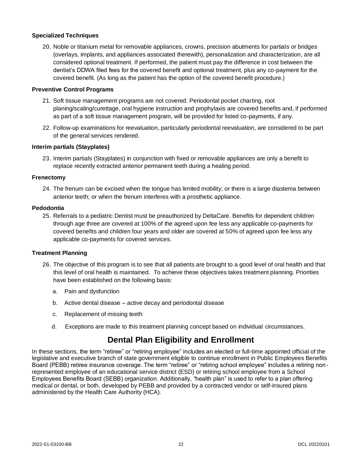#### **Specialized Techniques**

20. Noble or titanium metal for removable appliances, crowns, precision abutments for partials or bridges (overlays, implants, and appliances associated therewith), personalization and characterization, are all considered optional treatment. If performed, the patient must pay the difference in cost between the dentist's DDWA filed fees for the covered benefit and optional treatment, plus any co-payment for the covered benefit. (As long as the patient has the option of the covered benefit procedure.)

#### **Preventive Control Programs**

- 21. Soft tissue management programs are not covered. Periodontal pocket charting, root planing/scaling/curettage, oral hygiene instruction and prophylaxis are covered benefits and, if performed as part of a soft tissue management program, will be provided for listed co-payments, if any.
- 22. Follow-up examinations for reevaluation, particularly periodontal reevaluation, are considered to be part of the general services rendered.

#### **Interim partials (Stayplates)**

23. Interim partials (Stayplates) in conjunction with fixed or removable appliances are only a benefit to replace recently extracted anterior permanent teeth during a healing period.

#### **Frenectomy**

24. The frenum can be excised when the tongue has limited mobility; or there is a large diastema between anterior teeth; or when the frenum interferes with a prosthetic appliance.

#### **Pedodontia**

25. Referrals to a pediatric Dentist must be preauthorized by DeltaCare. Benefits for dependent children through age three are covered at 100% of the agreed upon fee less any applicable co-payments for covered benefits and children four years and older are covered at 50% of agreed upon fee less any applicable co-payments for covered services.

#### **Treatment Planning**

- 26. The objective of this program is to see that all patients are brought to a good level of oral health and that this level of oral health is maintained. To achieve these objectives takes treatment planning. Priorities have been established on the following basis:
	- a. Pain and dysfunction
	- b. Active dental disease active decay and periodontal disease
	- c. Replacement of missing teeth
	- d. Exceptions are made to this treatment planning concept based on individual circumstances.

# **Dental Plan Eligibility and Enrollment**

In these sections, the term "retiree" or "retiring employee" includes an elected or full-time appointed official of the legislative and executive branch of state government eligible to continue enrollment in Public Employees Benefits Board (PEBB) retiree insurance coverage. The term "retiree" or "retiring school employee" includes a retiring nonrepresented employee of an educational service district (ESD) or retiring school employee from a School Employees Benefits Board (SEBB) organization. Additionally, "health plan" is used to refer to a plan offering medical or dental, or both, developed by PEBB and provided by a contracted vendor or self-insured plans administered by the Health Care Authority (HCA).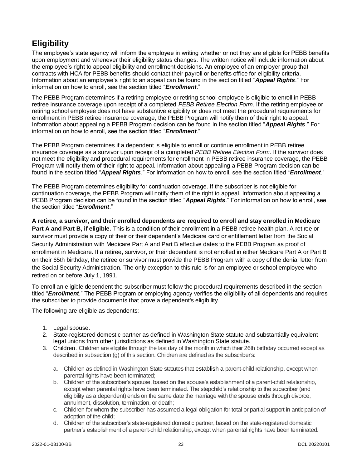# <span id="page-27-0"></span>**Eligibility**

The employee's state agency will inform the employee in writing whether or not they are eligible for PEBB benefits upon employment and whenever their eligibility status changes. The written notice will include information about the employee's right to appeal eligibility and enrollment decisions. An employee of an employer group that contracts with HCA for PEBB benefits should contact their payroll or benefits office for eligibility criteria. Information about an employee's right to an appeal can be found in the section titled "*Appeal Rights*." For information on how to enroll, see the section titled "*Enrollment*."

The PEBB Program determines if a retiring employee or retiring school employee is eligible to enroll in PEBB retiree insurance coverage upon receipt of a completed *PEBB Retiree Election Form*. If the retiring employee or retiring school employee does not have substantive eligibility or does not meet the procedural requirements for enrollment in PEBB retiree insurance coverage, the PEBB Program will notify them of their right to appeal. Information about appealing a PEBB Program decision can be found in the section titled "*Appeal Rights*." For information on how to enroll, see the section titled "*Enrollment*."

The PEBB Program determines if a dependent is eligible to enroll or continue enrollment in PEBB retiree insurance coverage as a survivor upon receipt of a completed *PEBB Retiree Election Form*. If the survivor does not meet the eligibility and procedural requirements for enrollment in PEBB retiree insurance coverage, the PEBB Program will notify them of their right to appeal. Information about appealing a PEBB Program decision can be found in the section titled "*Appeal Rights*." For information on how to enroll, see the section titled "*Enrollment*."

The PEBB Program determines eligibility for continuation coverage. If the subscriber is not eligible for continuation coverage, the PEBB Program will notify them of the right to appeal. Information about appealing a PEBB Program decision can be found in the section titled "*Appeal Rights*." For information on how to enroll, see the section titled "*Enrollment*."

**A retiree, a survivor, and their enrolled dependents are required to enroll and stay enrolled in Medicare Part A and Part B, if eligible.** This is a condition of their enrollment in a PEBB retiree health plan. A retiree or survivor must provide a copy of their or their dependent's Medicare card or entitlement letter from the Social Security Administration with Medicare Part A and Part B effective dates to the PEBB Program as proof of enrollment in Medicare. If a retiree, survivor, or their dependent is not enrolled in either Medicare Part A or Part B on their 65th birthday, the retiree or survivor must provide the PEBB Program with a copy of the denial letter from the Social Security Administration. The only exception to this rule is for an employee or school employee who retired on or before July 1, 1991.

To enroll an eligible dependent the subscriber must follow the procedural requirements described in the section titled "*Enrollment*." The PEBB Program or employing agency verifies the eligibility of all dependents and requires the subscriber to provide documents that prove a dependent's eligibility.

The following are eligible as dependents:

- 1. Legal spouse.
- 2. State-registered domestic partner as defined in Washington State statute and substantially equivalent legal unions from other jurisdictions as defined in Washington State statute.
- 3. Children. Children are eligible through the last day of the month in which their 26th birthday occurred except as described in subsection (g) of this section. Children are defined as the subscriber's:
	- a. Children as defined in Washington State statutes that establish a parent-child relationship, except when parental rights have been terminated;
	- b. Children of the subscriber's spouse, based on the spouse's establishment of a parent-child relationship, except when parental rights have been terminated. The stepchild's relationship to the subscriber (and eligibility as a dependent) ends on the same date the marriage with the spouse ends through divorce, annulment, dissolution, termination, or death;
	- c. Children for whom the subscriber has assumed a legal obligation for total or partial support in anticipation of adoption of the child;
	- d. Children of the subscriber's state-registered domestic partner, based on the state-registered domestic partner's establishment of a parent-child relationship, except when parental rights have been terminated.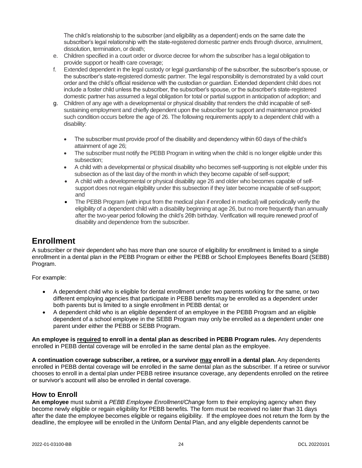The child's relationship to the subscriber (and eligibility as a dependent) ends on the same date the subscriber's legal relationship with the state-registered domestic partner ends through divorce, annulment, dissolution, termination, or death;

- e. Children specified in a court order or divorce decree for whom the subscriber has a legal obligation to provide support or health care coverage;
- f. Extended dependent in the legal custody or legal guardianship of the subscriber, the subscriber's spouse, or the subscriber's state-registered domestic partner. The legal responsibility is demonstrated by a valid court order and the child's official residence with the custodian or guardian. Extended dependent child does not include a foster child unless the subscriber, the subscriber's spouse, or the subscriber's state-registered domestic partner has assumed a legal obligation for total or partial support in anticipation of adoption; and
- g. Children of any age with a developmental or physical disability that renders the child incapable of selfsustaining employment and chiefly dependent upon the subscriber for support and maintenance provided such condition occurs before the age of 26. The following requirements apply to a dependent child with a disability:
	- The subscriber must provide proof of the disability and dependency within 60 days of the child's attainment of age 26;
	- The subscriber must notify the PEBB Program in writing when the child is no longer eligible under this subsection;
	- A child with a developmental or physical disability who becomes self-supporting is not eligible under this subsection as of the last day of the month in which they become capable of self-support;
	- A child with a developmental or physical disability age 26 and older who becomes capable of selfsupport does not regain eligibility under this subsection if they later become incapable of self-support; and
	- The PEBB Program (with input from the medical plan if enrolled in medical) will periodically verify the eligibility of a dependent child with a disability beginning at age 26, but no more frequently than annually after the two-year period following the child's 26th birthday. Verification will require renewed proof of disability and dependence from the subscriber.

# <span id="page-28-0"></span>**Enrollment**

A subscriber or their dependent who has more than one source of eligibility for enrollment is limited to a single enrollment in a dental plan in the PEBB Program or either the PEBB or School Employees Benefits Board (SEBB) Program.

For example:

- A dependent child who is eligible for dental enrollment under two parents working for the same, or two different employing agencies that participate in PEBB benefits may be enrolled as a dependent under both parents but is limited to a single enrollment in PEBB dental; or
- A dependent child who is an eligible dependent of an employee in the PEBB Program and an eligible dependent of a school employee in the SEBB Program may only be enrolled as a dependent under one parent under either the PEBB or SEBB Program.

**An employee is required to enroll in a dental plan as described in PEBB Program rules.** Any dependents enrolled in PEBB dental coverage will be enrolled in the same dental plan as the employee.

**A continuation coverage subscriber, a retiree, or a survivor may enroll in a dental plan.** Any dependents enrolled in PEBB dental coverage will be enrolled in the same dental plan as the subscriber. If a retiree or survivor chooses to enroll in a dental plan under PEBB retiree insurance coverage, any dependents enrolled on the retiree or survivor's account will also be enrolled in dental coverage.

# **How to Enroll**

**An employee** must submit a *PEBB Employee Enrollment/Change* form to their employing agency when they become newly eligible or regain eligibility for PEBB benefits. The form must be received no later than 31 days after the date the employee becomes eligible or regains eligibility. If the employee does not return the form by the deadline, the employee will be enrolled in the Uniform Dental Plan, and any eligible dependents cannot be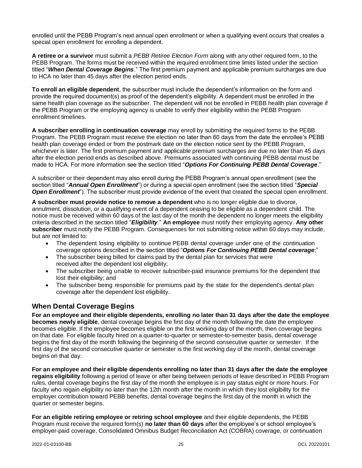enrolled until the PEBB Program's next annual open enrollment or when a qualifying event occurs that creates a special open enrollment for enrolling a dependent.

**A retiree or a survivor** must submit a *PEBB Retiree Election Form* along with any other required form, to the PEBB Program. The forms must be received within the required enrollment time limits listed under the section titled "*When Dental Coverage Begins*." The first premium payment and applicable premium surcharges are due to HCA no later than 45 days after the election period ends.

**To enroll an eligible dependent**, the subscriber must include the dependent's information on the form and provide the required document(s) as proof of the dependent's eligibility. A dependent must be enrolled in the same health plan coverage as the subscriber. The dependent will not be enrolled in PEBB health plan coverage if the PEBB Program or the employing agency is unable to verify their eligibility within the PEBB Program enrollment timelines.

**A subscriber enrolling in continuation coverage** may enroll by submitting the required forms to the PEBB Program. The PEBB Program must receive the election no later than 60 days from the date the enrollee's PEBB health plan coverage ended or from the postmark date on the election notice sent by the PEBB Program, whichever is later. The first premium payment and applicable premium surcharges are due no later than 45 days after the election period ends as described above. Premiums associated with continuing PEBB dental must be made to HCA. For more information see the section titled "*Options For Continuing PEBB Dental Coverage*."

A subscriber or their dependent may also enroll during the PEBB Program's annual open enrollment (see the section titled "*Annual Open Enrollment*") or during a special open enrollment (see the section titled "*Special Open Enrollment*"). The subscriber must provide evidence of the event that created the special open enrollment.

**A subscriber must provide notice to remove a dependent** who is no longer eligible due to divorce, annulment, dissolution, or a qualifying event of a dependent ceasing to be eligible as a dependent child. The notice must be received within 60 days of the last day of the month the dependent no longer meets the eligibility criteria described in the section titled "*Eligibility*." **An employee** must notify their employing agency. **Any other subscriber** must notify the PEBB Program. Consequences for not submitting notice within 60 days may include, but are not limited to:

- The dependent losing eligibility to continue PEBB dental coverage under one of the continuation coverage options described in the section titled "*Options For Continuing PEBB Dental coverage*;"
- The subscriber being billed for claims paid by the dental plan for services that were received after the dependent lost eligibility;
- The subscriber being unable to recover subscriber-paid insurance premiums for the dependent that lost their eligibility; and
- The subscriber being responsible for premiums paid by the state for the dependent's dental plan coverage after the dependent lost eligibility.

# <span id="page-29-0"></span>**When Dental Coverage Begins**

**For an employee and their eligible dependents, enrolling no later than 31 days after the date the employee becomes newly eligible**, dental coverage begins the first day of the month following the date the employee becomes eligible. If the employee becomes eligible on the first working day of the month, then coverage begins on that date. For eligible faculty hired on a quarter-to-quarter or semester-to-semester basis, dental coverage begins the first day of the month following the beginning of the second consecutive quarter or semester. If the first day of the second consecutive quarter or semester is the first working day of the month, dental coverage begins on that day.

**For an employee and their eligible dependents enrolling no later than 31 days after the date the employee regains eligibility** following a period of leave or after being between periods of leave described in PEBB Program rules, dental coverage begins the first day of the month the employee is in pay status eight or more hours. For faculty who regain eligibility no later than the 12th month after the month in which they lost eligibility for the employer contribution toward PEBB benefits, dental coverage begins the first day of the month in which the quarter or semester begins.

**For an eligible retiring employee or retiring school employee** and their eligible dependents, the PEBB Program must receive the required form(s) **no later than 60 days** after the employee's or school employee's employer-paid coverage, Consolidated Omnibus Budget Reconciliation Act (COBRA) coverage, or continuation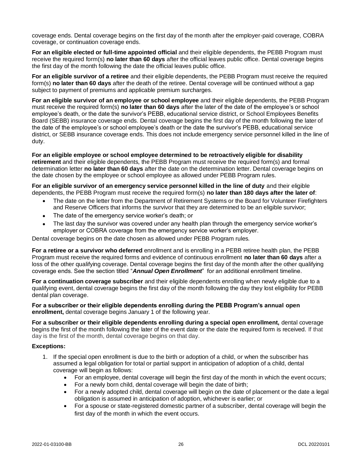coverage ends. Dental coverage begins on the first day of the month after the employer-paid coverage, COBRA coverage, or continuation coverage ends.

**For an eligible elected or full-time appointed official** and their eligible dependents, the PEBB Program must receive the required form(s) **no later than 60 days** after the official leaves public office. Dental coverage begins the first day of the month following the date the official leaves public office.

**For an eligible survivor of a retiree** and their eligible dependents, the PEBB Program must receive the required form(s) **no later than 60 days** after the death of the retiree. Dental coverage will be continued without a gap subject to payment of premiums and applicable premium surcharges.

**For an eligible survivor of an employee or school employee** and their eligible dependents, the PEBB Program must receive the required form(s) **no later than 60 days** after the later of the date of the employee's or school employee's death, or the date the survivor's PEBB, educational service district, or School Employees Benefits Board (SEBB) insurance coverage ends. Dental coverage begins the first day of the month following the later of the date of the employee's or school employee's death or the date the survivor's PEBB, educational service district, or SEBB insurance coverage ends. This does not include emergency service personnel killed in the line of duty.

**For an eligible employee or school employee determined to be retroactively eligible for disability retirement** and their eligible dependents, the PEBB Program must receive the required form(s) and formal determination letter **no later than 60 days** after the date on the determination letter. Dental coverage begins on the date chosen by the employee or school employee as allowed under PEBB Program rules.

**For an eligible survivor of an emergency service personnel killed in the line of duty** and their eligible dependents, the PEBB Program must receive the required form(s) **no later than 180 days after the later of**:

- The date on the letter from the Department of Retirement Systems or the Board for Volunteer Firefighters and Reserve Officers that informs the survivor that they are determined to be an eligible survivor;
- The date of the emergency service worker's death; or
- The last day the survivor was covered under any health plan through the emergency service worker's employer or COBRA coverage from the emergency service worker's employer.

Dental coverage begins on the date chosen as allowed under PEBB Program rules.

**For a retiree or a survivor who deferred** enrollment and is enrolling in a PEBB retiree health plan, the PEBB Program must receive the required forms and evidence of continuous enrollment **no later than 60 days** after a loss of the other qualifying coverage. Dental coverage begins the first day of the month after the other qualifying coverage ends. See the section titled "*Annual Open Enrollment*" for an additional enrollment timeline.

**For a continuation coverage subscriber** and their eligible dependents enrolling when newly eligible due to a qualifying event, dental coverage begins the first day of the month following the day they lost eligibility for PEBB dental plan coverage.

**For a subscriber or their eligible dependents enrolling during the PEBB Program's annual open enrollment,** dental coverage begins January 1 of the following year.

**For a subscriber or their eligible dependents enrolling during a special open enrollment,** dental coverage begins the first of the month following the later of the event date or the date the required form is received. If that day is the first of the month, dental coverage begins on that day.

#### **Exceptions:**

- 1. If the special open enrollment is due to the birth or adoption of a child, or when the subscriber has assumed a legal obligation for total or partial support in anticipation of adoption of a child, dental coverage will begin as follows:
	- For an employee, dental coverage will begin the first day of the month in which the event occurs;
	- For a newly born child, dental coverage will begin the date of birth;
	- For a newly adopted child, dental coverage will begin on the date of placement or the date a legal obligation is assumed in anticipation of adoption, whichever is earlier; or
	- For a spouse or state-registered domestic partner of a subscriber, dental coverage will begin the first day of the month in which the event occurs.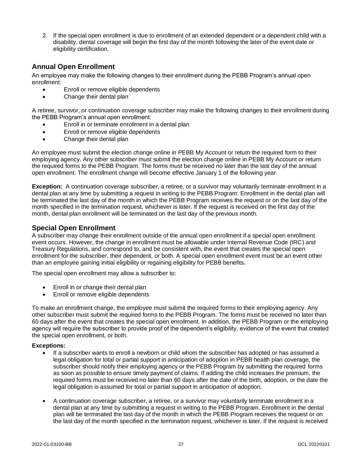2. If the special open enrollment is due to enrollment of an extended dependent or a dependent child with a disability, dental coverage will begin the first day of the month following the later of the event date or eligibility certification.

# <span id="page-31-0"></span>**Annual Open Enrollment**

An employee may make the following changes to their enrollment during the PEBB Program's annual open enrollment:

- Enroll or remove eligible dependents
- Change their dental plan

A retiree, survivor, or continuation coverage subscriber may make the following changes to their enrollment during the PEBB Program's annual open enrollment:

- Enroll in or terminate enrollment in a dental plan
- Enroll or remove eligible dependents
- Change their dental plan

An employee must submit the election change online in PEBB My Account or return the required form to their employing agency. Any other subscriber must submit the election change online in PEBB My Account or return the required forms to the PEBB Program. The forms must be received no later than the last day of the annual open enrollment. The enrollment change will become effective January 1 of the following year.

**Exception:** A continuation coverage subscriber, a retiree, or a survivor may voluntarily terminate enrollment in a dental plan at any time by submitting a request in writing to the PEBB Program. Enrollment in the dental plan will be terminated the last day of the month in which the PEBB Program receives the request or on the last day of the month specified in the termination request, whichever is later. If the request is received on the first day of the month, dental plan enrollment will be terminated on the last day of the previous month.

### **Special Open Enrollment**

A subscriber may change their enrollment outside of the annual open enrollment if a special open enrollment event occurs. However, the change in enrollment must be allowable under Internal Revenue Code (IRC) and Treasury Regulations, and correspond to, and be consistent with, the event that creates the special open enrollment for the subscriber, their dependent, or both. A special open enrollment event must be an event other than an employee gaining initial eligibility or regaining eligibility for PEBB benefits.

The special open enrollment may allow a subscriber to:

- Enroll in or change their dental plan
- Enroll or remove eligible dependents

To make an enrollment change, the employee must submit the required forms to their employing agency. Any other subscriber must submit the required forms to the PEBB Program. The forms must be received no later than 60 days after the event that creates the special open enrollment. In addition, the PEBB Program or the employing agency will require the subscriber to provide proof of the dependent's eligibility, evidence of the event that created the special open enrollment, or both.

#### **Exceptions:**

- If a subscriber wants to enroll a newborn or child whom the subscriber has adopted or has assumed a legal obligation for total or partial support in anticipation of adoption in PEBB health plan coverage, the subscriber should notify their employing agency or the PEBB Program by submitting the required forms as soon as possible to ensure timely payment of claims. If adding the child increases the premium, the required forms must be received no later than 60 days after the date of the birth, adoption, or the date the legal obligation is assumed for total or partial support in anticipation of adoption.
- A continuation coverage subscriber, a retiree, or a survivor may voluntarily terminate enrollment in a dental plan at any time by submitting a request in writing to the PEBB Program. Enrollment in the dental plan will be terminated the last day of the month in which the PEBB Program receives the request or on the last day of the month specified in the termination request, whichever is later. If the request is received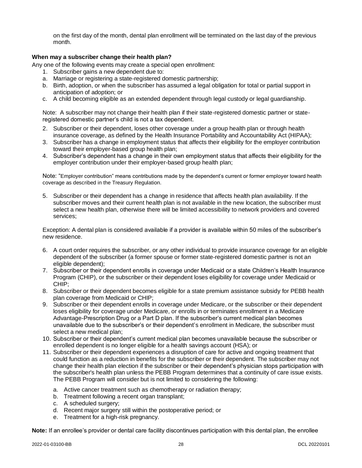on the first day of the month, dental plan enrollment will be terminated on the last day of the previous month.

#### <span id="page-32-0"></span>**When may a subscriber change their health plan?**

Any one of the following events may create a special open enrollment:

- 1. Subscriber gains a new dependent due to:
- a. Marriage or registering a state-registered domestic partnership;
- b. Birth, adoption, or when the subscriber has assumed a legal obligation for total or partial support in anticipation of adoption; or
- c. A child becoming eligible as an extended dependent through legal custody or legal guardianship.

Note: A subscriber may not change their health plan if their state-registered domestic partner or stateregistered domestic partner's child is not a tax dependent.

- 2. Subscriber or their dependent, loses other coverage under a group health plan or through health insurance coverage, as defined by the Health Insurance Portability and Accountability Act (HIPAA);
- 3. Subscriber has a change in employment status that affects their eligibility for the employer contribution toward their employer-based group health plan;
- 4. Subscriber's dependent has a change in their own employment status that affects their eligibility for the employer contribution under their employer-based group health plan;

Note: "Employer contribution" means contributions made by the dependent's current or former employer toward health coverage as described in the Treasury Regulation.

5. Subscriber or their dependent has a change in residence that affects health plan availability. If the subscriber moves and their current health plan is not available in the new location, the subscriber must select a new health plan, otherwise there will be limited accessibility to network providers and covered services;

Exception: A dental plan is considered available if a provider is available within 50 miles of the subscriber's new residence.

- 6. A court order requires the subscriber, or any other individual to provide insurance coverage for an eligible dependent of the subscriber (a former spouse or former state-registered domestic partner is not an eligible dependent);
- 7. Subscriber or their dependent enrolls in coverage under Medicaid or a state Children's Health Insurance Program (CHIP), or the subscriber or their dependent loses eligibility for coverage under Medicaid or CHIP;
- 8. Subscriber or their dependent becomes eligible for a state premium assistance subsidy for PEBB health plan coverage from Medicaid or CHIP;
- 9. Subscriber or their dependent enrolls in coverage under Medicare, or the subscriber or their dependent loses eligibility for coverage under Medicare, or enrolls in or terminates enrollment in a Medicare Advantage-Prescription Drug or a Part D plan. If the subscriber's current medical plan becomes unavailable due to the subscriber's or their dependent's enrollment in Medicare, the subscriber must select a new medical plan;
- 10. Subscriber or their dependent's current medical plan becomes unavailable because the subscriber or enrolled dependent is no longer eligible for a health savings account (HSA); or
- 11. Subscriber or their dependent experiences a disruption of care for active and ongoing treatment that could function as a reduction in benefits for the subscriber or their dependent. The subscriber may not change their health plan election if the subscriber or their dependent's physician stops participation with the subscriber's health plan unless the PEBB Program determines that a continuity of care issue exists. The PEBB Program will consider but is not limited to considering the following:
	- a. Active cancer treatment such as chemotherapy or radiation therapy;
	- b. Treatment following a recent organ transplant;
	- c. A scheduled surgery;
	- d. Recent major surgery still within the postoperative period; or
	- e. Treatment for a high-risk pregnancy.

**Note:** If an enrollee's provider or dental care facility discontinues participation with this dental plan, the enrollee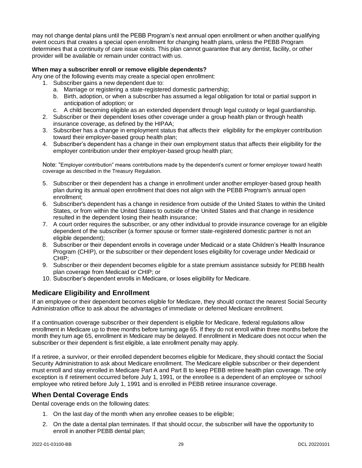may not change dental plans until the PEBB Program's next annual open enrollment or when another qualifying event occurs that creates a special open enrollment for changing health plans, unless the PEBB Program determines that a continuity of care issue exists. This plan cannot guarantee that any dentist, facility, or other provider will be available or remain under contract with us.

#### **When may a subscriber enroll or remove eligible dependents?**

Any one of the following events may create a special open enrollment:

- 1. Subscriber gains a new dependent due to:
	- a. Marriage or registering a state-registered domestic partnership;
	- b. Birth, adoption, or when a subscriber has assumed a legal obligation for total or partial support in anticipation of adoption; or
	- c. A child becoming eligible as an extended dependent through legal custody or legal guardianship.
- 2. Subscriber or their dependent loses other coverage under a group health plan or through health insurance coverage, as defined by the HIPAA;
- 3. Subscriber has a change in employment status that affects their eligibility for the employer contribution toward their employer-based group health plan;
- 4. Subscriber's dependent has a change in their own employment status that affects their eligibility for the employer contribution under their employer-based group health plan;

Note: "Employer contribution" means contributions made by the dependent's current or former employer toward health coverage as described in the Treasury Regulation.

- 5. Subscriber or their dependent has a change in enrollment under another employer-based group health plan during its annual open enrollment that does not align with the PEBB Program's annual open enrollment;
- 6. Subscriber's dependent has a change in residence from outside of the United States to within the United States, or from within the United States to outside of the United States and that change in residence resulted in the dependent losing their health insurance;
- 7. A court order requires the subscriber, or any other individual to provide insurance coverage for an eligible dependent of the subscriber (a former spouse or former state-registered domestic partner is not an eligible dependent);
- 8. Subscriber or their dependent enrolls in coverage under Medicaid or a state Children's Health Insurance Program (CHIP), or the subscriber or their dependent loses eligibility for coverage under Medicaid or CHIP;
- 9. Subscriber or their dependent becomes eligible for a state premium assistance subsidy for PEBB health plan coverage from Medicaid or CHIP; or
- 10. Subscriber's dependent enrolls in Medicare, or loses eligibility for Medicare.

### <span id="page-33-0"></span>**Medicare Eligibility and Enrollment**

If an employee or their dependent becomes eligible for Medicare, they should contact the nearest Social Security Administration office to ask about the advantages of immediate or deferred Medicare enrollment.

If a continuation coverage subscriber or their dependent is eligible for Medicare, federal regulations allow enrollment in Medicare up to three months before turning age 65. If they do not enroll within three months before the month they turn age 65, enrollment in Medicare may be delayed. If enrollment in Medicare does not occur when the subscriber or their dependent is first eligible, a late enrollment penalty may apply.

If a retiree, a survivor, or their enrolled dependent becomes eligible for Medicare, they should contact the Social Security Administration to ask about Medicare enrollment. The Medicare eligible subscriber or their dependent must enroll and stay enrolled in Medicare Part A and Part B to keep PEBB retiree health plan coverage. The only exception is if retirement occurred before July 1, 1991, or the enrollee is a dependent of an employee or school employee who retired before July 1, 1991 and is enrolled in PEBB retiree insurance coverage.

### <span id="page-33-1"></span>**When Dental Coverage Ends**

Dental coverage ends on the following dates:

- 1. On the last day of the month when any enrollee ceases to be eligible;
- 2. On the date a dental plan terminates. If that should occur, the subscriber will have the opportunity to enroll in another PEBB dental plan;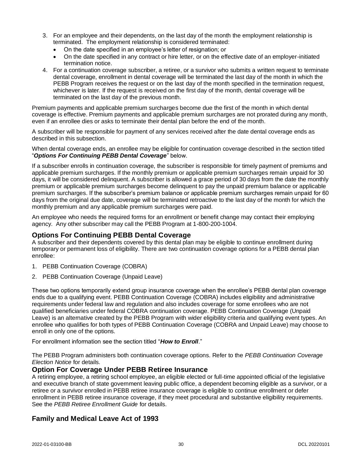- 3. For an employee and their dependents, on the last day of the month the employment relationship is terminated. The employment relationship is considered terminated:
	- On the date specified in an employee's letter of resignation; or
	- On the date specified in any contract or hire letter, or on the effective date of an employer-initiated termination notice.
- 4. For a continuation coverage subscriber, a retiree, or a survivor who submits a written request to terminate dental coverage, enrollment in dental coverage will be terminated the last day of the month in which the PEBB Program receives the request or on the last day of the month specified in the termination request, whichever is later. If the request is received on the first day of the month, dental coverage will be terminated on the last day of the previous month.

Premium payments and applicable premium surcharges become due the first of the month in which dental coverage is effective. Premium payments and applicable premium surcharges are not prorated during any month, even if an enrollee dies or asks to terminate their dental plan before the end of the month.

A subscriber will be responsible for payment of any services received after the date dental coverage ends as described in this subsection.

When dental coverage ends, an enrollee may be eligible for continuation coverage described in the section titled "*Options For Continuing PEBB Dental Coverage*" below.

If a subscriber enrolls in continuation coverage, the subscriber is responsible for timely payment of premiums and applicable premium surcharges. If the monthly premium or applicable premium surcharges remain unpaid for 30 days, it will be considered delinquent. A subscriber is allowed a grace period of 30 days from the date the monthly premium or applicable premium surcharges become delinquent to pay the unpaid premium balance or applicable premium surcharges. If the subscriber's premium balance or applicable premium surcharges remain unpaid for 60 days from the original due date, coverage will be terminated retroactive to the last day of the month for which the monthly premium and any applicable premium surcharges were paid.

An employee who needs the required forms for an enrollment or benefit change may contact their employing agency. Any other subscriber may call the PEBB Program at 1-800-200-1004.

#### **Options For Continuing PEBB Dental Coverage**

A subscriber and their dependents covered by this dental plan may be eligible to continue enrollment during temporary or permanent loss of eligibility. There are two continuation coverage options for a PEBB dental plan enrollee:

- 1. PEBB Continuation Coverage (COBRA)
- 2. PEBB Continuation Coverage (Unpaid Leave)

These two options temporarily extend group insurance coverage when the enrollee's PEBB dental plan coverage ends due to a qualifying event. PEBB Continuation Coverage (COBRA) includes eligibility and administrative requirements under federal law and regulation and also includes coverage for some enrollees who are not qualified beneficiaries under federal COBRA continuation coverage. PEBB Continuation Coverage (Unpaid Leave) is an alternative created by the PEBB Program with wider eligibility criteria and qualifying event types. An enrollee who qualifies for both types of PEBB Continuation Coverage (COBRA and Unpaid Leave) may choose to enroll in only one of the options.

For enrollment information see the section titled "*How to Enroll*."

The PEBB Program administers both continuation coverage options. Refer to the *PEBB Continuation Coverage Election Notice* for details.

#### **Option For Coverage Under PEBB Retiree Insurance**

A retiring employee, a retiring school employee, an eligible elected or full-time appointed official of the legislative and executive branch of state government leaving public office, a dependent becoming eligible as a survivor, or a retiree or a survivor enrolled in PEBB retiree insurance coverage is eligible to continue enrollment or defer enrollment in PEBB retiree insurance coverage, if they meet procedural and substantive eligibility requirements. See the *PEBB Retiree Enrollment Guide* for details.

### **Family and Medical Leave Act of 1993**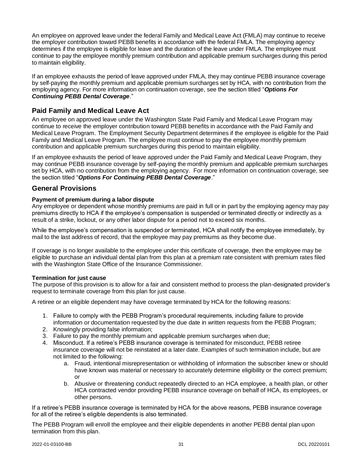An employee on approved leave under the federal Family and Medical Leave Act (FMLA) may continue to receive the employer contribution toward PEBB benefits in accordance with the federal FMLA. The employing agency determines if the employee is eligible for leave and the duration of the leave under FMLA. The employee must continue to pay the employee monthly premium contribution and applicable premium surcharges during this period to maintain eligibility.

If an employee exhausts the period of leave approved under FMLA, they may continue PEBB insurance coverage by self-paying the monthly premium and applicable premium surcharges set by HCA, with no contribution from the employing agency. For more information on continuation coverage, see the section titled "*Options For Continuing PEBB Dental Coverage*."

# <span id="page-35-0"></span>**Paid Family and Medical Leave Act**

An employee on approved leave under the Washington State Paid Family and Medical Leave Program may continue to receive the employer contribution toward PEBB benefits in accordance with the Paid Family and Medical Leave Program. The Employment Security Department determines if the employee is eligible for the Paid Family and Medical Leave Program. The employee must continue to pay the employee monthly premium contribution and applicable premium surcharges during this period to maintain eligibility.

If an employee exhausts the period of leave approved under the Paid Family and Medical Leave Program, they may continue PEBB insurance coverage by self-paying the monthly premium and applicable premium surcharges set by HCA, with no contribution from the employing agency. For more information on continuation coverage, see the section titled "*Options For Continuing PEBB Dental Coverage*."

# **General Provisions**

#### **Payment of premium during a labor dispute**

Any employee or dependent whose monthly premiums are paid in full or in part by the employing agency may pay premiums directly to HCA if the employee's compensation is suspended or terminated directly or indirectly as a result of a strike, lockout, or any other labor dispute for a period not to exceed six months.

While the employee's compensation is suspended or terminated, HCA shall notify the employee immediately, by mail to the last address of record, that the employee may pay premiums as they become due.

If coverage is no longer available to the employee under this certificate of coverage, then the employee may be eligible to purchase an individual dental plan from this plan at a premium rate consistent with premium rates filed with the Washington State Office of the Insurance Commissioner.

#### **Termination for just cause**

The purpose of this provision is to allow for a fair and consistent method to process the plan-designated provider's request to terminate coverage from this plan for just cause.

A retiree or an eligible dependent may have coverage terminated by HCA for the following reasons:

- 1. Failure to comply with the PEBB Program's procedural requirements, including failure to provide information or documentation requested by the due date in written requests from the PEBB Program;
- 2. Knowingly providing false information;
- 3. Failure to pay the monthly premium and applicable premium surcharges when due;
- 4. Misconduct. If a retiree's PEBB insurance coverage is terminated for misconduct, PEBB retiree insurance coverage will not be reinstated at a later date. Examples of such termination include, but are not limited to the following:
	- a. Fraud, intentional misrepresentation or withholding of information the subscriber knew or should have known was material or necessary to accurately determine eligibility or the correct premium; or
	- b. Abusive or threatening conduct repeatedly directed to an HCA employee, a health plan, or other HCA contracted vendor providing PEBB insurance coverage on behalf of HCA, its employees, or other persons.

If a retiree's PEBB insurance coverage is terminated by HCA for the above reasons, PEBB insurance coverage for all of the retiree's eligible dependents is also terminated.

The PEBB Program will enroll the employee and their eligible dependents in another PEBB dental plan upon termination from this plan.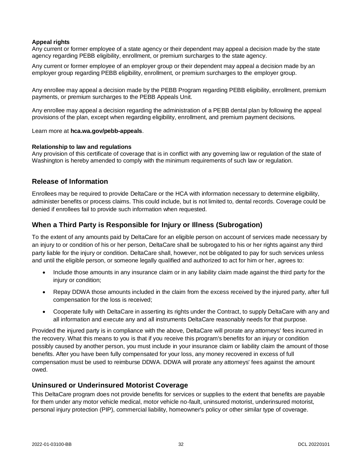#### **Appeal rights**

Any current or former employee of a state agency or their dependent may appeal a decision made by the state agency regarding PEBB eligibility, enrollment, or premium surcharges to the state agency.

Any current or former employee of an employer group or their dependent may appeal a decision made by an employer group regarding PEBB eligibility, enrollment, or premium surcharges to the employer group.

Any enrollee may appeal a decision made by the PEBB Program regarding PEBB eligibility, enrollment, premium payments, or premium surcharges to the PEBB Appeals Unit.

Any enrollee may appeal a decision regarding the administration of a PEBB dental plan by following the appeal provisions of the plan, except when regarding eligibility, enrollment, and premium payment decisions.

Learn more at **hca.wa.gov/pebb-appeals**.

#### **Relationship to law and regulations**

Any provision of this certificate of coverage that is in conflict with any governing law or regulation of the state of Washington is hereby amended to comply with the minimum requirements of such law or regulation.

#### **Release of Information**

Enrollees may be required to provide DeltaCare or the HCA with information necessary to determine eligibility, administer benefits or process claims. This could include, but is not limited to, dental records. Coverage could be denied if enrollees fail to provide such information when requested.

#### <span id="page-36-0"></span>**When a Third Party is Responsible for Injury or Illness (Subrogation)**

To the extent of any amounts paid by DeltaCare for an eligible person on account of services made necessary by an injury to or condition of his or her person, DeltaCare shall be subrogated to his or her rights against any third party liable for the injury or condition. DeltaCare shall, however, not be obligated to pay for such services unless and until the eligible person, or someone legally qualified and authorized to act for him or her, agrees to:

- Include those amounts in any insurance claim or in any liability claim made against the third party for the injury or condition;
- Repay DDWA those amounts included in the claim from the excess received by the injured party, after full compensation for the loss is received;
- Cooperate fully with DeltaCare in asserting its rights under the Contract, to supply DeltaCare with any and all information and execute any and all instruments DeltaCare reasonably needs for that purpose.

Provided the injured party is in compliance with the above, DeltaCare will prorate any attorneys' fees incurred in the recovery. What this means to you is that if you receive this program's benefits for an injury or condition possibly caused by another person, you must include in your insurance claim or liability claim the amount of those benefits. After you have been fully compensated for your loss, any money recovered in excess of full compensation must be used to reimburse DDWA. DDWA will prorate any attorneys' fees against the amount owed.

#### **Uninsured or Underinsured Motorist Coverage**

This DeltaCare program does not provide benefits for services or supplies to the extent that benefits are payable for them under any motor vehicle medical, motor vehicle no-fault, uninsured motorist, underinsured motorist, personal injury protection (PIP), commercial liability, homeowner's policy or other similar type of coverage.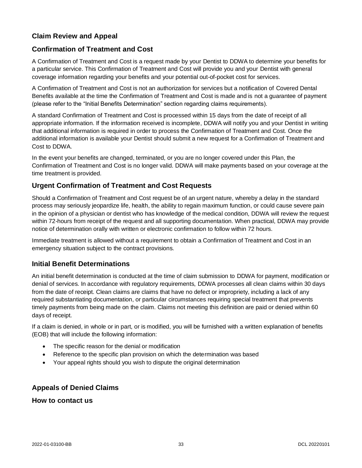# <span id="page-37-0"></span>**Claim Review and Appeal**

# <span id="page-37-1"></span>**Confirmation of Treatment and Cost**

A Confirmation of Treatment and Cost is a request made by your Dentist to DDWA to determine your benefits for a particular service. This Confirmation of Treatment and Cost will provide you and your Dentist with general coverage information regarding your benefits and your potential out-of-pocket cost for services.

A Confirmation of Treatment and Cost is not an authorization for services but a notification of Covered Dental Benefits available at the time the Confirmation of Treatment and Cost is made and is not a guarantee of payment (please refer to the "Initial Benefits Determination" section regarding claims requirements).

A standard Confirmation of Treatment and Cost is processed within 15 days from the date of receipt of all appropriate information. If the information received is incomplete, DDWA will notify you and your Dentist in writing that additional information is required in order to process the Confirmation of Treatment and Cost. Once the additional information is available your Dentist should submit a new request for a Confirmation of Treatment and Cost to DDWA.

In the event your benefits are changed, terminated, or you are no longer covered under this Plan, the Confirmation of Treatment and Cost is no longer valid. DDWA will make payments based on your coverage at the time treatment is provided.

#### <span id="page-37-2"></span>**Urgent Confirmation of Treatment and Cost Requests**

Should a Confirmation of Treatment and Cost request be of an urgent nature, whereby a delay in the standard process may seriously jeopardize life, health, the ability to regain maximum function, or could cause severe pain in the opinion of a physician or dentist who has knowledge of the medical condition, DDWA will review the request within 72-hours from receipt of the request and all supporting documentation. When practical, DDWA may provide notice of determination orally with written or electronic confirmation to follow within 72 hours.

Immediate treatment is allowed without a requirement to obtain a Confirmation of Treatment and Cost in an emergency situation subject to the contract provisions.

### **Initial Benefit Determinations**

An initial benefit determination is conducted at the time of claim submission to DDWA for payment, modification or denial of services. In accordance with regulatory requirements, DDWA processes all clean claims within 30 days from the date of receipt. Clean claims are claims that have no defect or impropriety, including a lack of any required substantiating documentation, or particular circumstances requiring special treatment that prevents timely payments from being made on the claim. Claims not meeting this definition are paid or denied within 60 days of receipt.

If a claim is denied, in whole or in part, or is modified, you will be furnished with a written explanation of benefits (EOB) that will include the following information:

- The specific reason for the denial or modification
- Reference to the specific plan provision on which the determination was based
- Your appeal rights should you wish to dispute the original determination

### <span id="page-37-3"></span>**Appeals of Denied Claims**

<span id="page-37-4"></span>**How to contact us**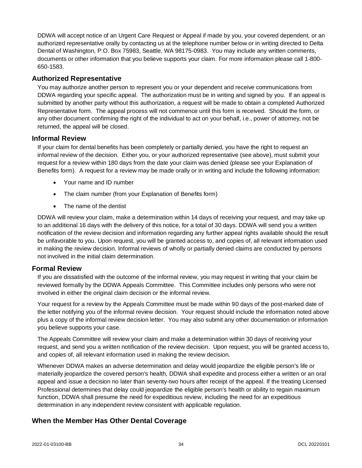DDWA will accept notice of an Urgent Care Request or Appeal if made by you, your covered dependent, or an authorized representative orally by contacting us at the telephone number below or in writing directed to Delta Dental of Washington, P.O. Box 75983, Seattle, WA 98175-0983. You may include any written comments, documents or other information that you believe supports your claim. For more information please call 1-800- 650-1583.

#### <span id="page-38-0"></span>**Authorized Representative**

You may authorize another person to represent you or your dependent and receive communications from DDWA regarding your specific appeal. The authorization must be in writing and signed by you. If an appeal is submitted by another party without this authorization, a request will be made to obtain a completed Authorized Representative form. The appeal process will not commence until this form is received. Should the form, or any other document confirming the right of the individual to act on your behalf, i.e., power of attorney, not be returned, the appeal will be closed.

#### <span id="page-38-1"></span>**Informal Review**

If your claim for dental benefits has been completely or partially denied, you have the right to request an informal review of the decision. Either you, or your authorized representative (see above), must submit your request for a review within 180 days from the date your claim was denied (please see your Explanation of Benefits form). A request for a review may be made orally or in writing and include the following information:

- Your name and ID number
- The claim number (from your Explanation of Benefits form)
- The name of the dentist

DDWA will review your claim, make a determination within 14 days of receiving your request, and may take up to an additional 16 days with the delivery of this notice, for a total of 30 days. DDWA will send you a written notification of the review decision and information regarding any further appeal rights available should the result be unfavorable to you. Upon request, you will be granted access to, and copies of, all relevant information used in making the review decision. Informal reviews of wholly or partially denied claims are conducted by persons not involved in the initial claim determination.

### <span id="page-38-2"></span>**Formal Review**

If you are dissatisfied with the outcome of the informal review, you may request in writing that your claim be reviewed formally by the DDWA Appeals Committee. This Committee includes only persons who were not involved in either the original claim decision or the informal review.

Your request for a review by the Appeals Committee must be made within 90 days of the post-marked date of the letter notifying you of the informal review decision. Your request should include the information noted above plus a copy of the informal review decision letter. You may also submit any other documentation or information you believe supports your case.

The Appeals Committee will review your claim and make a determination within 30 days of receiving your request, and send you a written notification of the review decision. Upon request, you will be granted access to, and copies of, all relevant information used in making the review decision.

Whenever DDWA makes an adverse determination and delay would jeopardize the eligible person's life or materially jeopardize the covered person's health, DDWA shall expedite and process either a written or an oral appeal and issue a decision no later than seventy-two hours after receipt of the appeal. If the treating Licensed Professional determines that delay could jeopardize the eligible person's health or ability to regain maximum function, DDWA shall presume the need for expeditious review, including the need for an expeditious determination in any independent review consistent with applicable regulation.

# <span id="page-38-3"></span>**When the Member Has Other Dental Coverage**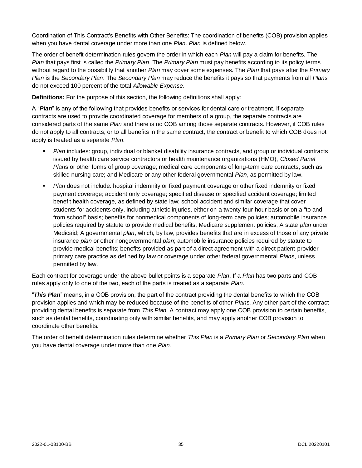Coordination of This Contract's Benefits with Other Benefits: The coordination of benefits (COB) provision applies when you have dental coverage under more than one *Plan*. *Plan* is defined below.

The order of benefit determination rules govern the order in which each *Plan* will pay a claim for benefits. The *Plan* that pays first is called the *Primary Plan*. The *Primary Plan* must pay benefits according to its policy terms without regard to the possibility that another *Plan* may cover some expenses. The *Plan* that pays after the *Primary Plan* is the *Secondary Plan*. The *Secondary Plan* may reduce the benefits it pays so that payments from all *Plan*s do not exceed 100 percent of the total *Allowable Expense*.

**Definitions:** For the purpose of this section, the following definitions shall apply:

A "*Plan*" is any of the following that provides benefits or services for dental care or treatment. If separate contracts are used to provide coordinated coverage for members of a group, the separate contracts are considered parts of the same *Plan* and there is no COB among those separate contracts. However, if COB rules do not apply to all contracts, or to all benefits in the same contract, the contract or benefit to which COB does not apply is treated as a separate *Plan*.

- *Plan* includes: group, individual or blanket disability insurance contracts, and group or individual contracts issued by health care service contractors or health maintenance organizations (HMO), *Closed Panel Plan*s or other forms of group coverage; medical care components of long-term care contracts, such as skilled nursing care; and Medicare or any other federal governmental *Plan*, as permitted by law.
- *Plan* does not include: hospital indemnity or fixed payment coverage or other fixed indemnity or fixed payment coverage; accident only coverage; specified disease or specified accident coverage; limited benefit health coverage, as defined by state law; school accident and similar coverage that cover students for accidents only, including athletic injuries, either on a twenty-four-hour basis or on a "to and from school" basis; benefits for nonmedical components of long-term care policies; automobile insurance policies required by statute to provide medical benefits; Medicare supplement policies; A state *plan* under Medicaid; A governmental *plan*, which, by law, provides benefits that are in excess of those of any private insurance *plan* or other nongovernmental *plan*; automobile insurance policies required by statute to provide medical benefits; benefits provided as part of a direct agreement with a direct patient-provider primary care practice as defined by law or coverage under other federal governmental *Plan*s, unless permitted by law.

Each contract for coverage under the above bullet points is a separate *Plan*. If a *Plan* has two parts and COB rules apply only to one of the two, each of the parts is treated as a separate *Plan*.

"*This Plan*" means, in a COB provision, the part of the contract providing the dental benefits to which the COB provision applies and which may be reduced because of the benefits of other *Plan*s. Any other part of the contract providing dental benefits is separate from *This Plan*. A contract may apply one COB provision to certain benefits, such as dental benefits, coordinating only with similar benefits, and may apply another COB provision to coordinate other benefits.

The order of benefit determination rules determine whether *This Plan* is a *Primary Plan* or *Secondary Plan* when you have dental coverage under more than one *Plan*.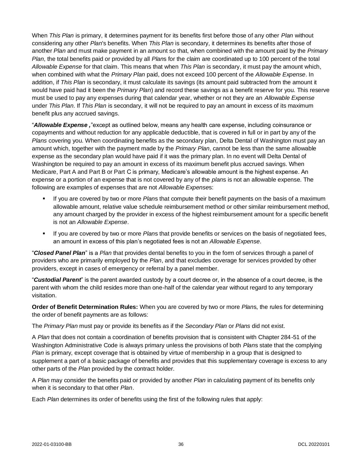When *This Plan* is primary, it determines payment for its benefits first before those of any other *Plan* without considering any other *Plan*'s benefits. When *This Plan* is secondary, it determines its benefits after those of another *Plan* and must make payment in an amount so that, when combined with the amount paid by the *Primary Plan*, the total benefits paid or provided by all *Plan*s for the claim are coordinated up to 100 percent of the total *Allowable Expense* for that claim. This means that when *This Plan* is secondary, it must pay the amount which, when combined with what the *Primary Plan* paid, does not exceed 100 percent of the *Allowable Expense*. In addition, if *This Plan* is secondary, it must calculate its savings (its amount paid subtracted from the amount it would have paid had it been the *Primary Plan*) and record these savings as a benefit reserve for you. This reserve must be used to pay any expenses during that calendar year, whether or not they are an *Allowable Expense* under *This Plan*. If *This Plan* is secondary, it will not be required to pay an amount in excess of its maximum benefit plus any accrued savings.

"*Allowable Expense ,*"except as outlined below, means any health care expense, including coinsurance or copayments and without reduction for any applicable deductible, that is covered in full or in part by any of the *Plans* covering you. When coordinating benefits as the secondary plan, Delta Dental of Washington must pay an amount which, together with the payment made by the *Primary Plan*, cannot be less than the same allowable expense as the secondary plan would have paid if it was the primary plan. In no event will Delta Dental of Washington be required to pay an amount in excess of its maximum benefit plus accrued savings. When Medicare, Part A and Part B or Part C is primary, Medicare's allowable amount is the highest expense. An expense or a portion of an expense that is not covered by any of the *plan*s is not an allowable expense. The following are examples of expenses that are not *Allowable Expense*s:

- If you are covered by two or more *Plans* that compute their benefit payments on the basis of a maximum allowable amount, relative value schedule reimbursement method or other similar reimbursement method, any amount charged by the provider in excess of the highest reimbursement amount for a specific benefit is not an *Allowable Expense*.
- If you are covered by two or more *Plans* that provide benefits or services on the basis of negotiated fees, an amount in excess of this plan's negotiated fees is not an *Allowable Expense*.

"*Closed Panel Plan*" is a *Plan* that provides dental benefits to you in the form of services through a panel of providers who are primarily employed by the *Plan*, and that excludes coverage for services provided by other providers, except in cases of emergency or referral by a panel member.

"*Custodial Parent*" is the parent awarded custody by a court decree or, in the absence of a court decree, is the parent with whom the child resides more than one-half of the calendar year without regard to any temporary visitation.

**Order of Benefit Determination Rules:** When you are covered by two or more *Plan*s, the rules for determining the order of benefit payments are as follows:

The *Primary Plan* must pay or provide its benefits as if the *Secondary Plan* or *Plans* did not exist.

A *Plan* that does not contain a coordination of benefits provision that is consistent with Chapter 284-51 of the Washington Administrative Code is always primary unless the provisions of both *Plan*s state that the complying *Plan* is primary, except coverage that is obtained by virtue of membership in a group that is designed to supplement a part of a basic package of benefits and provides that this supplementary coverage is excess to any other parts of the *Plan* provided by the contract holder.

A *Plan* may consider the benefits paid or provided by another *Plan* in calculating payment of its benefits only when it is secondary to that other *Plan*.

Each *Plan* determines its order of benefits using the first of the following rules that apply: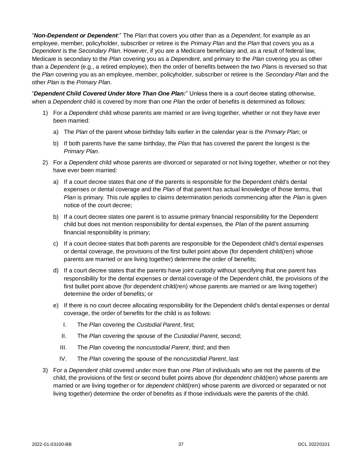"*Non-Dependent or Dependent*:" The *Plan* that covers you other than as a *Dependent*, for example as an employee, member, policyholder, subscriber or retiree is the *Primary Plan* and the *Plan* that covers you as a *Dependent* is the *Secondary Plan*. However, if you are a Medicare beneficiary and, as a result of federal law, Medicare is secondary to the *Plan* covering you as a *Dependent*, and primary to the *Plan* covering you as other than a *Dependent* (e.g., a retired employee), then the order of benefits between the two *Plan*s is reversed so that the *Plan* covering you as an employee, member, policyholder, subscriber or retiree is the *Secondary Plan* and the other *Plan* is the *Primary Plan*.

"*Dependent Child Covered Under More Than One Plan:*" Unless there is a court decree stating otherwise, when a *Dependent* child is covered by more than one *Plan* the order of benefits is determined as follows:

- 1) For a *Dependent* child whose parents are married or are living together, whether or not they have ever been married:
	- a) The *Plan* of the parent whose birthday falls earlier in the calendar year is the *Primary Plan*; or
	- b) If both parents have the same birthday, the *Plan* that has covered the parent the longest is the *Primary Plan*.
- 2) For a *Dependent* child whose parents are divorced or separated or not living together, whether or not they have ever been married:
	- a) If a court decree states that one of the parents is responsible for the Dependent child's dental expenses or dental coverage and the *Plan* of that parent has actual knowledge of those terms, that *Plan* is primary. This rule applies to claims determination periods commencing after the *Plan* is given notice of the court decree;
	- b) If a court decree states one parent is to assume primary financial responsibility for the Dependent child but does not mention responsibility for dental expenses, the *Plan* of the parent assuming financial responsibility is primary;
	- c) If a court decree states that both parents are responsible for the Dependent child's dental expenses or dental coverage, the provisions of the first bullet point above (for dependent child(ren) whose parents are married or are living together) determine the order of benefits;
	- d) If a court decree states that the parents have joint custody without specifying that one parent has responsibility for the dental expenses or dental coverage of the Dependent child, the provisions of the first bullet point above (for dependent child(ren) whose parents are married or are living together) determine the order of benefits; or
	- e) If there is no court decree allocating responsibility for the Dependent child's dental expenses or dental coverage, the order of benefits for the child is as follows:
		- I. The *Plan* covering the *Custodial Parent*, first;
		- II. The *Plan* covering the spouse of the *Custodial Parent*, second;
		- III. The *Plan* covering the non*custodial Parent*, third; and then
		- IV. The *Plan* covering the spouse of the non*custodial Parent*, last
- 3) For a *Dependent* child covered under more than one *Plan* of individuals who are not the parents of the child, the provisions of the first or second bullet points above (for *dependent* child(ren) whose parents are married or are living together or for *dependent* child(ren) whose parents are divorced or separated or not living together) determine the order of benefits as if those individuals were the parents of the child.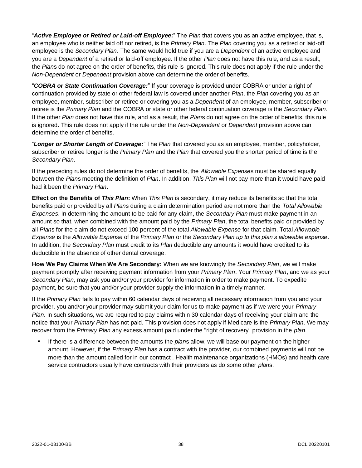"*Active Employee or Retired or Laid-off Employee:*" The *Plan* that covers you as an active employee, that is, an employee who is neither laid off nor retired, is the *Primary Plan*. The *Plan* covering you as a retired or laid-off employee is the *Secondary Plan*. The same would hold true if you are a *Dependent* of an active employee and you are a *Dependent* of a retired or laid-off employee. If the other *Plan* does not have this rule, and as a result, the *Plan*s do not agree on the order of benefits, this rule is ignored. This rule does not apply if the rule under the *Non-Dependent* or *Dependent* provision above can determine the order of benefits.

"*COBRA or State Continuation Coverage:*" If your coverage is provided under COBRA or under a right of continuation provided by state or other federal law is covered under another *Plan*, the *Plan* covering you as an employee, member, subscriber or retiree or covering you as a *Dependent* of an employee, member, subscriber or retiree is the *Primary Plan* and the COBRA or state or other federal continuation coverage is the *Secondary Plan*. If the other *Plan* does not have this rule, and as a result, the *Plan*s do not agree on the order of benefits, this rule is ignored. This rule does not apply if the rule under the *Non-Dependent* or *Dependent* provision above can determine the order of benefits.

"*Longer or Shorter Length of Coverage:*" The *Plan* that covered you as an employee, member, policyholder, subscriber or retiree longer is the *Primary Plan* and the *Plan* that covered you the shorter period of time is the *Secondary Plan*.

If the preceding rules do not determine the order of benefits, the *Allowable Expense*s must be shared equally between the *Plan*s meeting the definition of *Plan*. In addition, *This Plan* will not pay more than it would have paid had it been the *Primary Plan*.

**Effect on the Benefits of** *This Plan***:** When *This Plan* is secondary, it may reduce its benefits so that the total benefits paid or provided by all *Plan*s during a claim determination period are not more than the *Total Allowable Expenses*. In determining the amount to be paid for any claim, the *Secondary Plan* must make payment in an amount so that, when combined with the amount paid by the *Primary Plan*, the total benefits paid or provided by all *Plan*s for the claim do not exceed 100 percent of the total *Allowable Expense* for that claim. Total *Allowable Expense* is the *Allowable Expense* of the *Primary Plan* or the *Secondary Plan up to this plan's allowable expense*. In addition, the *Secondary Plan* must credit to its *Plan* deductible any amounts it would have credited to its deductible in the absence of other dental coverage.

**How We Pay Claims When We Are Secondary:** When we are knowingly the *Secondary Plan*, we will make payment promptly after receiving payment information from your *Primary Plan*. Your *Primary Plan*, and we as your *Secondary Plan*, may ask you and/or your provider for information in order to make payment. To expedite payment, be sure that you and/or your provider supply the information in a timely manner.

If the *Primary Plan* fails to pay within 60 calendar days of receiving all necessary information from you and your provider, you and/or your provider may submit your claim for us to make payment as if we were your *Primary Plan*. In such situations, we are required to pay claims within 30 calendar days of receiving your claim and the notice that your *Primary Plan* has not paid. This provision does not apply if Medicare is the *Primary Plan*. We may recover from the *Primary Plan* any excess amount paid under the "right of recovery" provision in the *plan*.

If there is a difference between the amounts the *plans* allow, we will base our payment on the higher amount. However, if the *Primary Plan* has a contract with the provider, our combined payments will not be more than the amount called for in our contract . Health maintenance organizations (HMOs) and health care service contractors usually have contracts with their providers as do some other *plan*s.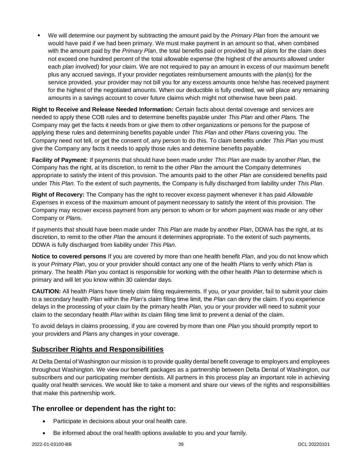We will determine our payment by subtracting the amount paid by the *Primary Plan* from the amount we would have paid if we had been primary. We must make payment in an amount so that, when combined with the amount paid by the *Primary Plan*, the total benefits paid or provided by all *plan*s for the claim does not exceed one hundred percent of the total allowable expense (the highest of the amounts allowed under each *plan* involved) for your claim. We are not required to pay an amount in excess of our maximum benefit plus any accrued savings. If your provider negotiates reimbursement amounts with the *plan*(s) for the service provided, your provider may not bill you for any excess amounts once he/she has received payment for the highest of the negotiated amounts. When our deductible is fully credited, we will place any remaining amounts in a savings account to cover future claims which might not otherwise have been paid.

**Right to Receive and Release Needed Information:** Certain facts about dental coverage and services are needed to apply these COB rules and to determine benefits payable under *This Plan* and other *Plan*s. The Company may get the facts it needs from or give them to other organizations or persons for the purpose of applying these rules and determining benefits payable under *This Plan* and other *Plan*s covering you. The Company need not tell, or get the consent of, any person to do this. To claim benefits under *This Plan* you must give the Company any facts it needs to apply those rules and determine benefits payable.

**Facility of Payment:** If payments that should have been made under *This Plan* are made by another *Plan*, the Company has the right, at its discretion, to remit to the other *Plan* the amount the Company determines appropriate to satisfy the intent of this provision. The amounts paid to the other *Plan* are considered benefits paid under *This Plan*. To the extent of such payments, the Company is fully discharged from liability under *This Plan*.

**Right of Recovery:** The Company has the right to recover excess payment whenever it has paid *Allowable Expense*s in excess of the maximum amount of payment necessary to satisfy the intent of this provision. The Company may recover excess payment from any person to whom or for whom payment was made or any other Company or *Plan*s.

If payments that should have been made under *This Plan* are made by another *Plan*, DDWA has the right, at its discretion, to remit to the other *Plan* the amount it determines appropriate. To the extent of such payments, DDWA is fully discharged from liability under *This Plan*.

**Notice to covered persons** If you are covered by more than one health benefit *Plan*, and you do not know which is your *Primary Plan*, you or your provider should contact any one of the health *Plan*s to verify which *Plan* is primary. The health *Plan* you contact is responsible for working with the other health *Plan* to determine which is primary and will let you know within 30 calendar days.

**CAUTION:** All health *Plan*s have timely claim filing requirements. If you, or your provider, fail to submit your claim to a secondary health *Plan* within the *Plan*'s claim filing time limit, the *Plan* can deny the claim. If you experience delays in the processing of your claim by the primary health *Plan*, you or your provider will need to submit your claim to the secondary health *Plan* within its claim filing time limit to prevent a denial of the claim.

To avoid delays in claims processing, if you are covered by more than one *Plan* you should promptly report to your providers and *Plan*s any changes in your coverage.

# <span id="page-43-0"></span>**Subscriber Rights and Responsibilities**

At Delta Dental of Washington our mission is to provide quality dental benefit coverage to employers and employees throughout Washington. We view our benefit packages as a partnership between Delta Dental of Washington, our subscribers and our participating member dentists. All partners in this process play an important role in achieving quality oral health services. We would like to take a moment and share our views of the rights and responsibilities that make this partnership work.

# **The enrollee or dependent has the right to:**

- Participate in decisions about your oral health care.
- Be informed about the oral health options available to you and your family.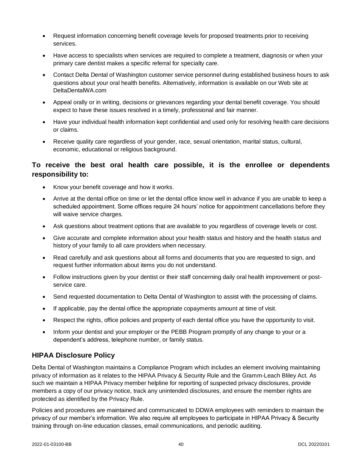- Request information concerning benefit coverage levels for proposed treatments prior to receiving services.
- Have access to specialists when services are required to complete a treatment, diagnosis or when your primary care dentist makes a specific referral for specialty care.
- Contact Delta Dental of Washington customer service personnel during established business hours to ask questions about your oral health benefits. Alternatively, information is available on our Web site at DeltaDentalWA.com
- Appeal orally or in writing, decisions or grievances regarding your dental benefit coverage. You should expect to have these issues resolved in a timely, professional and fair manner.
- Have your individual health information kept confidential and used only for resolving health care decisions or claims.
- Receive quality care regardless of your gender, race, sexual orientation, marital status, cultural, economic, educational or religious background.

# **To receive the best oral health care possible, it is the enrollee or dependents responsibility to:**

- Know your benefit coverage and how it works.
- Arrive at the dental office on time or let the dental office know well in advance if you are unable to keep a scheduled appointment. Some offices require 24 hours' notice for appointment cancellations before they will waive service charges.
- Ask questions about treatment options that are available to you regardless of coverage levels or cost.
- Give accurate and complete information about your health status and history and the health status and history of your family to all care providers when necessary.
- Read carefully and ask questions about all forms and documents that you are requested to sign, and request further information about items you do not understand.
- Follow instructions given by your dentist or their staff concerning daily oral health improvement or postservice care.
- Send requested documentation to Delta Dental of Washington to assist with the processing of claims.
- If applicable, pay the dental office the appropriate copayments amount at time of visit.
- Respect the rights, office policies and property of each dental office you have the opportunity to visit.
- Inform your dentist and your employer or the PEBB Program promptly of any change to your or a dependent's address, telephone number, or family status.

### <span id="page-44-0"></span>**HIPAA Disclosure Policy**

Delta Dental of Washington maintains a Compliance Program which includes an element involving maintaining privacy of information as it relates to the HIPAA Privacy & Security Rule and the Gramm-Leach Bliley Act. As such we maintain a HIPAA Privacy member helpline for reporting of suspected privacy disclosures, provide members a copy of our privacy notice, track any unintended disclosures, and ensure the member rights are protected as identified by the Privacy Rule.

Policies and procedures are maintained and communicated to DDWA employees with reminders to maintain the privacy of our member's information. We also require all employees to participate in HIPAA Privacy & Security training through on-line education classes, email communications, and periodic auditing.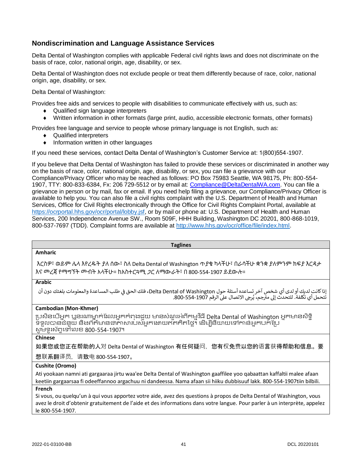# <span id="page-45-0"></span>**Nondiscrimination and Language Assistance Services**

Delta Dental of Washington complies with applicable Federal civil rights laws and does not discriminate on the basis of race, color, national origin, age, disability, or sex.

Delta Dental of Washington does not exclude people or treat them differently because of race, color, national origin, age, disability, or sex.

Delta Dental of Washington:

Provides free aids and services to people with disabilities to communicate effectively with us, such as:

- ◆ Qualified sign language interpreters
- Written information in other formats (large print, audio, accessible electronic formats, other formats)

Provides free language and service to people whose primary language is not English, such as:

- ◆ Qualified interpreters
- Information written in other languages

If you need these services, contact Delta Dental of Washington's Customer Service at: 1(800)554-1907.

If you believe that Delta Dental of Washington has failed to provide these services or discriminated in another way on the basis of race, color, national origin, age, disability, or sex, you can file a grievance with our Compliance/Privacy Officer who may be reached as follows: PO Box 75983 Seattle, WA 98175, Ph: 800-554- 1907, TTY: 800-833-6384, Fx: 206 729-5512 or by email at: [Compliance@DeltaDentalWA.com.](mailto:Compliance@DeltaDentalWA.com) You can file a grievance in person or by mail, fax or email. If you need help filing a grievance, our Compliance/Privacy Officer is available to help you. You can also file a civil rights complaint with the U.S. Department of Health and Human Services, Office for Civil Rights electronically through the Office for Civil Rights Complaint Portal, available at [https://ocrportal.hhs.gov/ocr/portal/lobby.jsf,](https://ocrportal.hhs.gov/ocr/portal/lobby.jsf) or by mail or phone at: U.S. Department of Health and Human Services, 200 Independence Avenue SW., Room 509F, HHH Building, Washington DC 20201, 800-868-1019, 800-537-7697 (TDD). Complaint forms are available at [http://www.hhs.gov/ocr/office/file/index.html.](http://www.hhs.gov/ocr/office/file/index.html)

#### **Taglines**

#### **Amharic**

እርስዎ፣ ወይም ሌላ እየረዱት ያለ ሰው፣ ስለ Delta Dental of Washington ጥያቄ ካላችሁ፣ በራሳችሁ ቋንቋ ያለምንም ክፍያ እርዳታ እና መረጃ የማግኘት መብት አላችሁ። ከአስተርጓሚ ጋር ለማውራት፣ በ 800-554-1907 ይደውሉ።

#### **Arabic**

إذا كانت لديك أو لدى أي شخص آخر تساعده أسئلة حول Delta Dental of Washington، فلك الحق في طلب المساعدة والمعلومات بلغتك دون أن ي l ء التالي عن التصال عن التصني التصني التصني التصني .<br>تتحمل أي تكلفة. للتحدث إلى مترجم، يُرجى الاتصال على الرقم 1907-554-800. ।<br>१

#### **Cambodian (Mon-Khmer)**

ប្រសិនបើអ្នក ប្អូនរណាម្នាក់ដែលអ្នកកំពុងជួយ មានសំណួរអំពីកម្មវិធី Delta Dental of Washington អ្នកមានសិទ្ធិ ទទួលបានជំនួយ និងព័ត៌មានជាភាសារបស់អ្នកដោយឥតគិតថ្លៃ។ ដើម្បីនិយាយទៅកាន់អ្នកបក់ប្រែ សូ ម្ទ្ូរស័ពទបៅបលខ 800-554-1907។

#### **Chinese**

如果您或您正在帮助的人对 Delta Dental of Washington 有任何疑问,您有权免费以您的语言获得帮助和信息。要

想联系翻译员,请致电 800-554-1907。

#### **Cushite (Oromo)**

Ati yookaan namni ati gargaaraa jirtu waa'ee Delta Dental of Washington gaaffilee yoo qabaattan kaffaltii malee afaan keetiin gargaarsaa fi odeeffannoo argachuu ni dandeessa. Nama afaan sii hiiku dubbisuuf lakk. 800-554-1907tiin bilbili.

#### **French**

Si vous, ou quelqu'un à qui vous apportez votre aide, avez des questions à propos de Delta Dental of Washington, vous avez le droit d'obtenir gratuitement de l'aide et des informations dans votre langue. Pour parler à un interprète, appelez le 800-554-1907.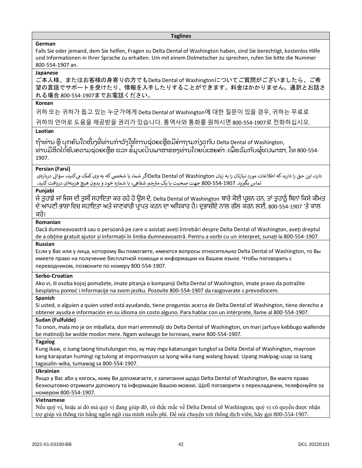#### **Taglines**

#### **German**

Falls Sie oder jemand, dem Sie helfen, Fragen zu Delta Dental of Washington haben, sind Sie berechtigt, kostenlos Hilfe und Informationen in Ihrer Sprache zu erhalten. Um mit einem Dolmetscher zu sprechen, rufen Sie bitte die Nummer 800-554-1907 an.

#### **Japanese**

ご本人様、またはお客様の身寄りの方でもDelta Dental of Washingtonについてご質問がございましたら、ご希 望の言語でサポートを受けたり、情報を入手したりすることができます。料金はかかりません。通訳とお話さ れる場合 800-554-1907までお電話ください。

#### **Korean**

귀하 또는 귀하가 돕고 있는 누군가에게 Delta Dental of Washington에 대한 질문이 있을 경우, 귀하는 무료로

귀하의 언어로 도움을 제공받을 권리가 있습니다. 통역사와 통화를 원하시면 800-554-1907로 전화하십시오.

#### **Laotian**

ຖ້າທ່ານ ຫຼື ບຸກຄົນໃດໜຶ່ງທີ່ທ່ານກຳລັງໃຫ້ການຊ່ວຍເຫຼືອມີຄາຖາມກ່ຽວກັບ Delta Dental of Washington, ທ່ານມີສິດໄດ້ຮັບຄວາມຊ່ວຍເຫຼືອ ແລະ ຂໍ້ມູນເປັນພາສາຂອງທ່ານໂດຍບໍ່ເສຍຄ່າ. ເພື່ອລົມກັບຜູ້ແປພາສາ, ໂທ 800-554-1907.

#### **Persian (Farsi)**

دارد، این حق را دارید که اطالعات مورد نیازتان را به زبان Washington of Dental Deltaاگر شما، یا شخیص که به وی کمک م کنید، سؤاىل درباره ی رود میکود و با شماره خود استفاده استفاده که سال می دردن میچ هزینه ای دریافت کنید.<br>تماس بگیرید. 800-554-1907 جهت صحبت با یک مترجم شفاهی، با شماره خود و بدون هیچ هزینهای دریافت کنید.

#### **Punjabi**

ਜੇ ਤੁਹਾਡੇ ਜਾਂ ਜਿਸ ਦੀ ਤੁਸੀਂ ਸਹਾਇਤਾ ਕਰ ਰਹੇ ਹੋ ਉਸ ਦੇ, Delta Dental of Washington ਬਾਰੇ ਕੋਈ ਪ੍ਰਸ਼ਨ ਹਨ, ਤਾਂ ਤੁਹਾਨੂੰ ਬਿਨਾਂ ਕਿਸੇ ਕੀਮਤ ਦੇ ਆਪ੍ਣੀ ਭਾਸ਼ਾ ਜਿਚ ਸਹਾਇਤਾ ਅਤੇ ਜਾਣਕਾਰੀ ਪ੍ਰਾਪ੍ਤ ਕਰਨ ਦਾ ਅਜਿਕਾਰ ਹੈ। ਦੁਭਾਸ਼ੀਏ ਨਾਲ ਗੱਲ ਕਰਨ ਲਈ, 800-554-1907 'ਤੇ ਕਾਲ ਕਰੋ।

#### **Romanian**

Dacă dumneavoastră sau o persoană pe care o asistați aveți întrebări despre Delta Dental of Washington, aveți dreptul de a obține gratuit ajutor și informații în limba dumneavoastră. Pentru a vorbi cu un interpret, sunați la 800-554-1907. **Russian**

Если у Вас или у лица, которому Вы помогаете, имеются вопросы относительно Delta Dental of Washington, то Вы имеете право на получение бесплатной помощи и информации на Вашем языке. Чтобы поговорить с переводчиком, позвоните по номеру 800-554-1907.

#### **Serbo-Croatian**

Ako vi, ili osoba kojoj pomažete, imate pitanja o kompaniji Delta Dental of Washington, imate pravo da potražite besplatnu pomoć i informacije na svom jeziku. Pozovite 800-554-1907 da razgovarate s prevodiocem.

#### **Spanish**

Si usted, o alguien a quien usted está ayudando, tiene preguntas acerca de Delta Dental of Washington, tiene derecho a obtener ayuda e información en su idioma sin costo alguno. Para hablar con un intérprete, llame al 800-554-1907.

#### **Sudan (Fulfulde)**

To onon, mala mo je on mballata, don mari emmmolji do Delta Dental of Washington, on mari jarfuye keɓɓugo wallende be matinolji be wolde moɗon mere. Ngam wolwugo be lornowo, ewne 800-554-1907.

#### **Tagalog**

Kung ikaw, o isang taong tinutulungan mo, ay may mga katanungan tungkol sa Delta Dental of Washington, mayroon kang karapatan humingi ng tulong at impormasyon sa iyong wika nang walang bayad. Upang makipag-usap sa isang tagasalin-wika, tumawag sa 800-554-1907.

#### **Ukrainian**

Якщо у Вас або у когось, кому Ви допомагаєте, є запитання щодо Delta Dental of Washington, Ви маєте право безкоштовно отримати допомогу та інформацію Вашою мовою. Щоб поговорити з перекладачем, телефонуйте за номером 800-554-1907.

#### **Vietnamese**

Nếu quý vị, hoặc ai đó mà quý vị đang giúp đỡ, có thắc mắc về Delta Dental of Washington, quý vị có quyền được nhận trợ giúp và thông tin bằng ngôn ngữ của mình miễn phí. Để nói chuyện với thông dịch viên, hãy gọi 800-554-1907.